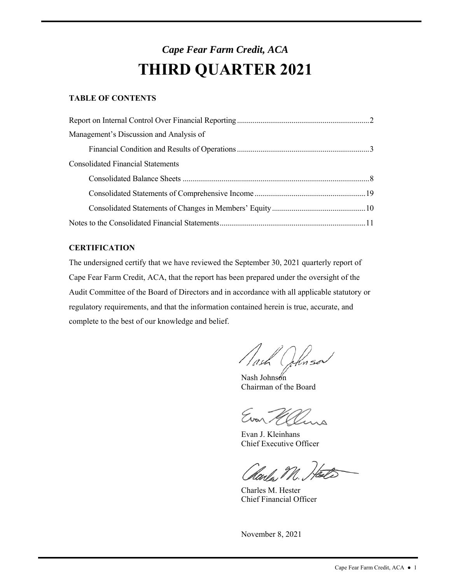# *Cape Fear Farm Credit, ACA*  **THIRD QUARTER 2021**

# **TABLE OF CONTENTS**

| Management's Discussion and Analysis of  |  |
|------------------------------------------|--|
|                                          |  |
| <b>Consolidated Financial Statements</b> |  |
|                                          |  |
|                                          |  |
|                                          |  |
|                                          |  |

# **CERTIFICATION**

The undersigned certify that we have reviewed the September 30, 2021 quarterly report of Cape Fear Farm Credit, ACA, that the report has been prepared under the oversight of the Audit Committee of the Board of Directors and in accordance with all applicable statutory or regulatory requirements, and that the information contained herein is true, accurate, and complete to the best of our knowledge and belief.

d<br>()

Nash Johnson Chairman of the Board

Evan Melins

Evan J. Kleinhans Chief Executive Officer

Harles M. Heate

Charles M. Hester Chief Financial Officer

November 8, 2021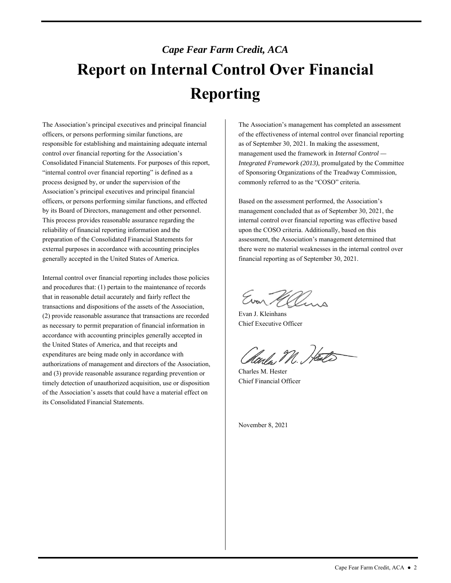# *Cape Fear Farm Credit, ACA*  **Report on Internal Control Over Financial Reporting**

 control over financial reporting for the Association's generally accepted in the United States of America. The Association's principal executives and principal financial officers, or persons performing similar functions, are responsible for establishing and maintaining adequate internal Consolidated Financial Statements. For purposes of this report, "internal control over financial reporting" is defined as a process designed by, or under the supervision of the Association's principal executives and principal financial officers, or persons performing similar functions, and effected by its Board of Directors, management and other personnel. This process provides reasonable assurance regarding the reliability of financial reporting information and the preparation of the Consolidated Financial Statements for external purposes in accordance with accounting principles

 accordance with accounting principles generally accepted in the United States of America, and that receipts and authorizations of management and directors of the Association, of the Association's assets that could have a material effect on Internal control over financial reporting includes those policies and procedures that: (1) pertain to the maintenance of records that in reasonable detail accurately and fairly reflect the transactions and dispositions of the assets of the Association, (2) provide reasonable assurance that transactions are recorded as necessary to permit preparation of financial information in expenditures are being made only in accordance with and (3) provide reasonable assurance regarding prevention or timely detection of unauthorized acquisition, use or disposition its Consolidated Financial Statements.

 commonly referred to as the "COSO" criteria. The Association's management has completed an assessment of the effectiveness of internal control over financial reporting as of September 30, 2021. In making the assessment, management used the framework in *Internal Control — Integrated Framework (2013)*, promulgated by the Committee of Sponsoring Organizations of the Treadway Commission,

Based on the assessment performed, the Association's management concluded that as of September 30, 2021, the internal control over financial reporting was effective based upon the COSO criteria. Additionally, based on this assessment, the Association's management determined that there were no material weaknesses in the internal control over financial reporting as of September 30, 2021.

Evan Malina

Evan J. Kleinhans Chief Executive Officer

Harles M. Heats

Charles M. Hester Chief Financial Officer

November 8, 2021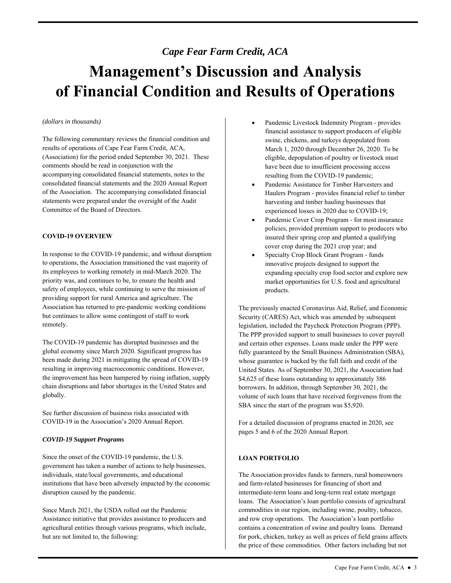# *Cape Fear Farm Credit, ACA*

# **Management's Discussion and Analysis of Financial Condition and Results of Operations**

#### *(dollars in thousands)*

 The following commentary reviews the financial condition and comments should be read in conjunction with the of the Association. The accompanying consolidated financial results of operations of Cape Fear Farm Credit, ACA, (Association) for the period ended September 30, 2021. These accompanying consolidated financial statements, notes to the consolidated financial statements and the 2020 Annual Report statements were prepared under the oversight of the Audit Committee of the Board of Directors.

### **COVID-19 OVERVIEW**

In response to the COVID-19 pandemic, and without disruption to operations, the Association transitioned the vast majority of its employees to working remotely in mid-March 2020. The priority was, and continues to be, to ensure the health and safety of employees, while continuing to serve the mission of providing support for rural America and agriculture. The Association has returned to pre-pandemic working conditions but continues to allow some contingent of staff to work remotely.

The COVID-19 pandemic has disrupted businesses and the global economy since March 2020. Significant progress has been made during 2021 in mitigating the spread of COVID-19 resulting in improving macroeconomic conditions. However, the improvement has been hampered by rising inflation, supply chain disruptions and labor shortages in the United States and globally.

See further discussion of business risks associated with COVID-19 in the Association's 2020 Annual Report.

#### *COVID-19 Support Programs*

Since the onset of the COVID-19 pandemic, the U.S. government has taken a number of actions to help businesses, individuals, state/local governments, and educational institutions that have been adversely impacted by the economic disruption caused by the pandemic.

 Assistance initiative that provides assistance to producers and Since March 2021, the USDA rolled out the Pandemic agricultural entities through various programs, which include, but are not limited to, the following:

- resulting from the COVID-19 pandemic; Pandemic Livestock Indemnity Program - provides financial assistance to support producers of eligible swine, chickens, and turkeys depopulated from March 1, 2020 through December 26, 2020. To be eligible, depopulation of poultry or livestock must have been due to insufficient processing access
- harvesting and timber hauling businesses that Pandemic Assistance for Timber Harvesters and Haulers Program - provides financial relief to timber experienced losses in 2020 due to COVID-19;
- Pandemic Cover Crop Program for most insurance policies, provided premium support to producers who insured their spring crop and planted a qualifying cover crop during the 2021 crop year; and
- Specialty Crop Block Grant Program funds innovative projects designed to support the expanding specialty crop food sector and explore new market opportunities for U.S. food and agricultural products.

 Security (CARES) Act, which was amended by subsequent legislation, included the Paycheck Protection Program (PPP). and certain other expenses. Loans made under the PPP were fully guaranteed by the Small Business Administration (SBA), volume of such loans that have received forgiveness from the The previously enacted Coronavirus Aid, Relief, and Economic The PPP provided support to small businesses to cover payroll whose guarantee is backed by the full faith and credit of the United States. As of September 30, 2021, the Association had \$4,625 of these loans outstanding to approximately 386 borrowers. In addition, through September 30, 2021, the SBA since the start of the program was \$5,920.

For a detailed discussion of programs enacted in 2020, see pages 5 and 6 of the 2020 Annual Report.

# **LOAN PORTFOLIO**

 intermediate-term loans and long-term real estate mortgage loans. The Association's loan portfolio consists of agricultural for pork, chicken, turkey as well as prices of field grains affects the price of these commodities. Other factors including but not The Association provides funds to farmers, rural homeowners and farm-related businesses for financing of short and commodities in our region, including swine, poultry, tobacco, and row crop operations. The Association's loan portfolio contains a concentration of swine and poultry loans. Demand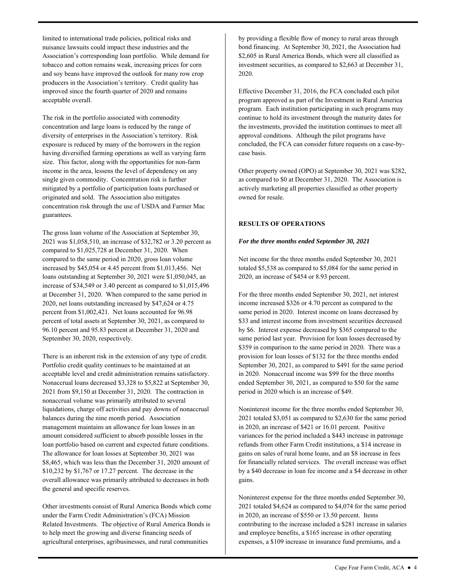acceptable overall. limited to international trade policies, political risks and nuisance lawsuits could impact these industries and the Association's corresponding loan portfolio. While demand for tobacco and cotton remains weak, increasing prices for corn and soy beans have improved the outlook for many row crop producers in the Association's territory. Credit quality has improved since the fourth quarter of 2020 and remains

 The risk in the portfolio associated with commodity exposure is reduced by many of the borrowers in the region having diversified farming operations as well as varying farm concentration and large loans is reduced by the range of diversity of enterprises in the Association's territory. Risk size. This factor, along with the opportunities for non-farm income in the area, lessens the level of dependency on any single given commodity. Concentration risk is further mitigated by a portfolio of participation loans purchased or originated and sold. The Association also mitigates concentration risk through the use of USDA and Farmer Mac guarantees.

 percent of total assets at September 30, 2021, as compared to September 30, 2020, respectively. The gross loan volume of the Association at September 30, 2021 was \$1,058,510, an increase of \$32,782 or 3.20 percent as compared to \$1,025,728 at December 31, 2020. When compared to the same period in 2020, gross loan volume increased by \$45,054 or 4.45 percent from \$1,013,456. Net loans outstanding at September 30, 2021 were \$1,050,045, an increase of \$34,549 or 3.40 percent as compared to \$1,015,496 at December 31, 2020. When compared to the same period in 2020, net loans outstanding increased by \$47,624 or 4.75 percent from \$1,002,421. Net loans accounted for 96.98 96.10 percent and 95.83 percent at December 31, 2020 and

 Portfolio credit quality continues to be maintained at an acceptable level and credit administration remains satisfactory. nonaccrual volume was primarily attributed to several liquidations, charge off activities and pay downs of nonaccrual management maintains an allowance for loan losses in an loan portfolio based on current and expected future conditions. overall allowance was primarily attributed to decreases in both There is an inherent risk in the extension of any type of credit. Nonaccrual loans decreased \$3,328 to \$5,822 at September 30, 2021 from \$9,150 at December 31, 2020. The contraction in balances during the nine month period. Association amount considered sufficient to absorb possible losses in the The allowance for loan losses at September 30, 2021 was \$8,465, which was less than the December 31, 2020 amount of \$10,232 by \$1,767 or 17.27 percent. The decrease in the the general and specific reserves.

 agricultural enterprises, agribusinesses, and rural communities Other investments consist of Rural America Bonds which come under the Farm Credit Administration's (FCA) Mission Related Investments. The objective of Rural America Bonds is to help meet the growing and diverse financing needs of

by providing a flexible flow of money to rural areas through bond financing. At September 30, 2021, the Association had \$2,605 in Rural America Bonds, which were all classified as investment securities, as compared to \$2,663 at December 31, 2020.

 program. Each institution participating in such programs may continue to hold its investment through the maturity dates for the investments, provided the institution continues to meet all Effective December 31, 2016, the FCA concluded each pilot program approved as part of the Investment in Rural America approval conditions. Although the pilot programs have concluded, the FCA can consider future requests on a case-bycase basis.

 actively marketing all properties classified as other property Other property owned (OPO) at September 30, 2021 was \$282, as compared to \$0 at December 31, 2020. The Association is owned for resale.

#### **RESULTS OF OPERATIONS**

#### *For the three months ended September 30, 2021*

 totaled \$5,538 as compared to \$5,084 for the same period in Net income for the three months ended September 30, 2021 2020, an increase of \$454 or 8.93 percent.

For the three months ended September 30, 2021, net interest income increased \$326 or 4.70 percent as compared to the same period in 2020. Interest income on loans decreased by \$33 and interest income from investment securities decreased by \$6. Interest expense decreased by \$365 compared to the same period last year. Provision for loan losses decreased by \$359 in comparison to the same period in 2020. There was a provision for loan losses of \$132 for the three months ended September 30, 2021, as compared to \$491 for the same period in 2020. Nonaccrual income was \$99 for the three months ended September 30, 2021, as compared to \$50 for the same period in 2020 which is an increase of \$49.

 in 2020, an increase of \$421 or 16.01 percent. Positive Noninterest income for the three months ended September 30, 2021 totaled \$3,051 as compared to \$2,630 for the same period variances for the period included a \$443 increase in patronage refunds from other Farm Credit institutions, a \$14 increase in gains on sales of rural home loans, and an \$8 increase in fees for financially related services. The overall increase was offset by a \$40 decrease in loan fee income and a \$4 decrease in other gains.

 in 2020, an increase of \$550 or 13.50 percent. Items Noninterest expense for the three months ended September 30, 2021 totaled \$4,624 as compared to \$4,074 for the same period contributing to the increase included a \$281 increase in salaries and employee benefits, a \$165 increase in other operating expenses, a \$109 increase in insurance fund premiums, and a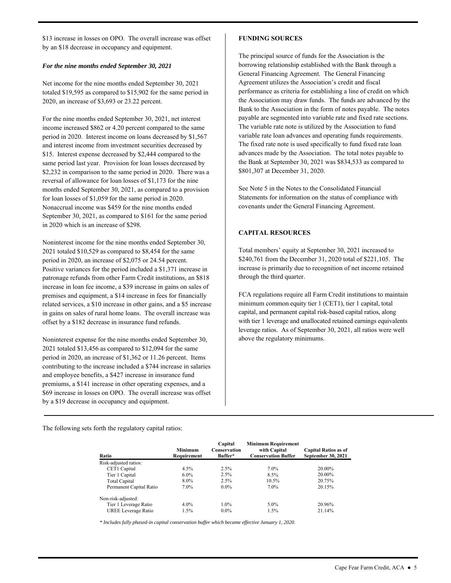\$13 increase in losses on OPO. The overall increase was offset by an \$18 decrease in occupancy and equipment.

#### *For the nine months ended September 30, 2021*

Net income for the nine months ended September 30, 2021 totaled \$19,595 as compared to \$15,902 for the same period in 2020, an increase of \$3,693 or 23.22 percent.

 Nonaccrual income was \$459 for the nine months ended For the nine months ended September 30, 2021, net interest income increased \$862 or 4.20 percent compared to the same period in 2020. Interest income on loans decreased by \$1,567 and interest income from investment securities decreased by \$15. Interest expense decreased by \$2,444 compared to the same period last year. Provision for loan losses decreased by \$2,232 in comparison to the same period in 2020. There was a reversal of allowance for loan losses of \$1,173 for the nine months ended September 30, 2021, as compared to a provision for loan losses of \$1,059 for the same period in 2020. September 30, 2021, as compared to \$161 for the same period in 2020 which is an increase of \$298.

 Positive variances for the period included a \$1,371 increase in increase in loan fee income, a \$39 increase in gains on sales of Noninterest income for the nine months ended September 30, 2021 totaled \$10,529 as compared to \$8,454 for the same period in 2020, an increase of \$2,075 or 24.54 percent. patronage refunds from other Farm Credit institutions, an \$818 premises and equipment, a \$14 increase in fees for financially related services, a \$10 increase in other gains, and a \$5 increase in gains on sales of rural home loans. The overall increase was offset by a \$182 decrease in insurance fund refunds.

Noninterest expense for the nine months ended September 30, 2021 totaled \$13,456 as compared to \$12,094 for the same period in 2020, an increase of \$1,362 or 11.26 percent. Items contributing to the increase included a \$744 increase in salaries and employee benefits, a \$427 increase in insurance fund premiums, a \$141 increase in other operating expenses, and a \$69 increase in losses on OPO. The overall increase was offset by a \$19 decrease in occupancy and equipment.

#### **FUNDING SOURCES**

 General Financing Agreement. The General Financing Agreement utilizes the Association's credit and fiscal the Association may draw funds. The funds are advanced by the payable are segmented into variable rate and fixed rate sections. The variable rate note is utilized by the Association to fund advances made by the Association. The total notes payable to The principal source of funds for the Association is the borrowing relationship established with the Bank through a performance as criteria for establishing a line of credit on which Bank to the Association in the form of notes payable. The notes variable rate loan advances and operating funds requirements. The fixed rate note is used specifically to fund fixed rate loan the Bank at September 30, 2021 was \$834,533 as compared to \$801,307 at December 31, 2020.

See Note 5 in the Notes to the Consolidated Financial Statements for information on the status of compliance with covenants under the General Financing Agreement.

# **CAPITAL RESOURCES**

Total members' equity at September 30, 2021 increased to \$240,761 from the December 31, 2020 total of \$221,105. The increase is primarily due to recognition of net income retained through the third quarter.

FCA regulations require all Farm Credit institutions to maintain minimum common equity tier 1 (CET1), tier 1 capital, total capital, and permanent capital risk-based capital ratios, along with tier 1 leverage and unallocated retained earnings equivalents leverage ratios. As of September 30, 2021, all ratios were well above the regulatory minimums.

The following sets forth the regulatory capital ratios:

| Ratio                      | Minimum<br>Requirement | Capital<br><b>Conservation</b><br>Buffer* | <b>Minimum Requirement</b><br>with Capital<br><b>Conservation Buffer</b> | <b>Capital Ratios as of</b><br><b>September 30, 2021</b> |
|----------------------------|------------------------|-------------------------------------------|--------------------------------------------------------------------------|----------------------------------------------------------|
| Risk-adjusted ratios:      |                        |                                           |                                                                          |                                                          |
| CET1 Capital               | $4.5\%$                | 2.5%                                      | 7.0%                                                                     | 20.00%                                                   |
| Tier 1 Capital             | $6.0\%$                | 2.5%                                      | 8.5%                                                                     | 20.00%                                                   |
| <b>Total Capital</b>       | $8.0\%$                | 2.5%                                      | 10.5%                                                                    | 20.75%                                                   |
| Permanent Capital Ratio    | $7.0\%$                | $0.0\%$                                   | $7.0\%$                                                                  | 20.15%                                                   |
| Non-risk-adjusted:         |                        |                                           |                                                                          |                                                          |
| Tier 1 Leverage Ratio      | $4.0\%$                | $1.0\%$                                   | 5.0%                                                                     | 20.96%                                                   |
| <b>UREE</b> Leverage Ratio | 1.5%                   | $0.0\%$                                   | 1.5%                                                                     | 21.14%                                                   |

*\* Includes fully phased-in capital conservation buffer which became effective January 1, 2020.*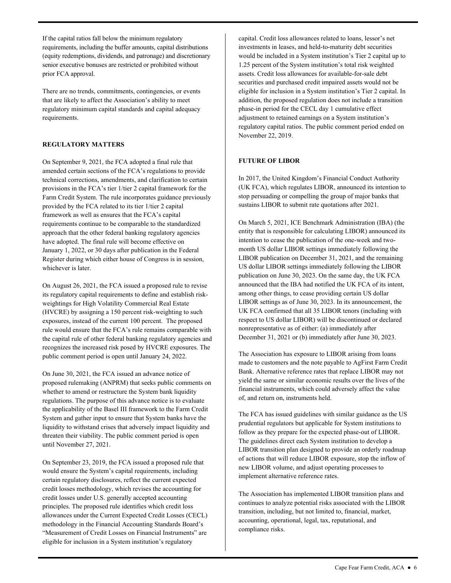prior FCA approval. If the capital ratios fall below the minimum regulatory requirements, including the buffer amounts, capital distributions (equity redemptions, dividends, and patronage) and discretionary senior executive bonuses are restricted or prohibited without

 There are no trends, commitments, contingencies, or events that are likely to affect the Association's ability to meet regulatory minimum capital standards and capital adequacy requirements.

# **REGULATORY MATTERS**

 Register during which either house of Congress is in session, On September 9, 2021, the FCA adopted a final rule that amended certain sections of the FCA's regulations to provide technical corrections, amendments, and clarification to certain provisions in the FCA's tier 1/tier 2 capital framework for the Farm Credit System. The rule incorporates guidance previously provided by the FCA related to its tier 1/tier 2 capital framework as well as ensures that the FCA's capital requirements continue to be comparable to the standardized approach that the other federal banking regulatory agencies have adopted. The final rule will become effective on January 1, 2022, or 30 days after publication in the Federal whichever is later.

 its regulatory capital requirements to define and establish risk- rule would ensure that the FCA's rule remains comparable with On August 26, 2021, the FCA issued a proposed rule to revise weightings for High Volatility Commercial Real Estate (HVCRE) by assigning a 150 percent risk-weighting to such exposures, instead of the current 100 percent. The proposed the capital rule of other federal banking regulatory agencies and recognizes the increased risk posed by HVCRE exposures. The public comment period is open until January 24, 2022.

 the applicability of the Basel III framework to the Farm Credit On June 30, 2021, the FCA issued an advance notice of proposed rulemaking (ANPRM) that seeks public comments on whether to amend or restructure the System bank liquidity regulations. The purpose of this advance notice is to evaluate System and gather input to ensure that System banks have the liquidity to withstand crises that adversely impact liquidity and threaten their viability. The public comment period is open until November 27, 2021.

 credit losses under U.S. generally accepted accounting principles. The proposed rule identifies which credit loss allowances under the Current Expected Credit Losses (CECL) "Measurement of Credit Losses on Financial Instruments" are eligible for inclusion in a System institution's regulatory On September 23, 2019, the FCA issued a proposed rule that would ensure the System's capital requirements, including certain regulatory disclosures, reflect the current expected credit losses methodology, which revises the accounting for methodology in the Financial Accounting Standards Board's

 capital. Credit loss allowances related to loans, lessor's net investments in leases, and held-to-maturity debt securities would be included in a System institution's Tier 2 capital up to 1.25 percent of the System institution's total risk weighted assets. Credit loss allowances for available-for-sale debt securities and purchased credit impaired assets would not be eligible for inclusion in a System institution's Tier 2 capital. In addition, the proposed regulation does not include a transition phase-in period for the CECL day 1 cumulative effect adjustment to retained earnings on a System institution's regulatory capital ratios. The public comment period ended on November 22, 2019.

# **FUTURE OF LIBOR**

 (UK FCA), which regulates LIBOR, announced its intention to In 2017, the United Kingdom's Financial Conduct Authority stop persuading or compelling the group of major banks that sustains LIBOR to submit rate quotations after 2021.

 respect to US dollar LIBOR) will be discontinued or declared On March 5, 2021, ICE Benchmark Administration (IBA) (the entity that is responsible for calculating LIBOR) announced its intention to cease the publication of the one-week and twomonth US dollar LIBOR settings immediately following the LIBOR publication on December 31, 2021, and the remaining US dollar LIBOR settings immediately following the LIBOR publication on June 30, 2023. On the same day, the UK FCA announced that the IBA had notified the UK FCA of its intent, among other things, to cease providing certain US dollar LIBOR settings as of June 30, 2023. In its announcement, the UK FCA confirmed that all 35 LIBOR tenors (including with nonrepresentative as of either: (a) immediately after December 31, 2021 or (b) immediately after June 30, 2023.

 Bank. Alternative reference rates that replace LIBOR may not The Association has exposure to LIBOR arising from loans made to customers and the note payable to AgFirst Farm Credit yield the same or similar economic results over the lives of the financial instruments, which could adversely affect the value of, and return on, instruments held.

 follow as they prepare for the expected phase-out of LIBOR. The guidelines direct each System institution to develop a LIBOR transition plan designed to provide an orderly roadmap implement alternative reference rates. The FCA has issued guidelines with similar guidance as the US prudential regulators but applicable for System institutions to of actions that will reduce LIBOR exposure, stop the inflow of new LIBOR volume, and adjust operating processes to

 transition, including, but not limited to, financial, market, compliance risks. The Association has implemented LIBOR transition plans and continues to analyze potential risks associated with the LIBOR accounting, operational, legal, tax, reputational, and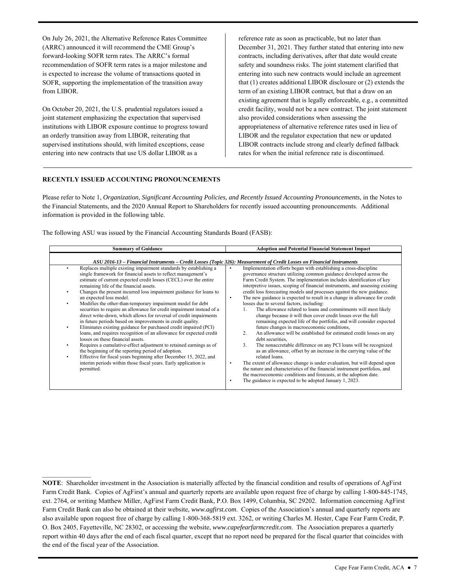On July 26, 2021, the Alternative Reference Rates Committee (ARRC) announced it will recommend the CME Group's forward-looking SOFR term rates. The ARRC's formal recommendation of SOFR term rates is a major milestone and is expected to increase the volume of transactions quoted in SOFR, supporting the implementation of the transition away from LIBOR.

 entering into new contracts that use US dollar LIBOR as a On October 20, 2021, the U.S. prudential regulators issued a joint statement emphasizing the expectation that supervised institutions with LIBOR exposure continue to progress toward an orderly transition away from LIBOR, reiterating that supervised institutions should, with limited exceptions, cease

 term of an existing LIBOR contract, but that a draw on an existing agreement that is legally enforceable, e.g., a committed credit facility, would not be a new contract. The joint statement appropriateness of alternative reference rates used in lieu of LIBOR and the regulator expectation that new or updated rates for when the initial reference rate is discontinued. reference rate as soon as practicable, but no later than December 31, 2021. They further stated that entering into new contracts, including derivatives, after that date would create safety and soundness risks. The joint statement clarified that entering into such new contracts would include an agreement that (1) creates additional LIBOR disclosure or (2) extends the also provided considerations when assessing the LIBOR contracts include strong and clearly defined fallback

#### **RECENTLY ISSUED ACCOUNTING PRONOUNCEMENTS**

 Please refer to Note 1, *Organization, Significant Accounting Policies, and Recently Issued Accounting Pronouncements*, in the Notes to the Financial Statements, and the 2020 Annual Report to Shareholders for recently issued accounting pronouncements. Additional information is provided in the following table.

The following ASU was issued by the Financial Accounting Standards Board (FASB):

| <b>Summary of Guidance</b>                                                                                                                                                                                                                                                                                                                                                                                                                                                                                                                                                                                                                                                                                                                                                                                                                                                                                                                                                                                                                                                                                                                              | <b>Adoption and Potential Financial Statement Impact</b>                                                                                                                                                                                                                                                                                                                                                                                                                                                                                                                                                                                                                                                                                                                                                                                                                                                                                                                                                                                                                                                                                                                                                                                                                                                                              |
|---------------------------------------------------------------------------------------------------------------------------------------------------------------------------------------------------------------------------------------------------------------------------------------------------------------------------------------------------------------------------------------------------------------------------------------------------------------------------------------------------------------------------------------------------------------------------------------------------------------------------------------------------------------------------------------------------------------------------------------------------------------------------------------------------------------------------------------------------------------------------------------------------------------------------------------------------------------------------------------------------------------------------------------------------------------------------------------------------------------------------------------------------------|---------------------------------------------------------------------------------------------------------------------------------------------------------------------------------------------------------------------------------------------------------------------------------------------------------------------------------------------------------------------------------------------------------------------------------------------------------------------------------------------------------------------------------------------------------------------------------------------------------------------------------------------------------------------------------------------------------------------------------------------------------------------------------------------------------------------------------------------------------------------------------------------------------------------------------------------------------------------------------------------------------------------------------------------------------------------------------------------------------------------------------------------------------------------------------------------------------------------------------------------------------------------------------------------------------------------------------------|
| ASU 2016-13 - Financial Instruments - Credit Losses (Topic 326): Measurement of Credit Losses on Financial Instruments                                                                                                                                                                                                                                                                                                                                                                                                                                                                                                                                                                                                                                                                                                                                                                                                                                                                                                                                                                                                                                  |                                                                                                                                                                                                                                                                                                                                                                                                                                                                                                                                                                                                                                                                                                                                                                                                                                                                                                                                                                                                                                                                                                                                                                                                                                                                                                                                       |
| Replaces multiple existing impairment standards by establishing a<br>$\bullet$<br>single framework for financial assets to reflect management's<br>estimate of current expected credit losses (CECL) over the entire<br>remaining life of the financial assets.<br>Changes the present incurred loss impairment guidance for loans to<br>٠<br>an expected loss model.<br>Modifies the other-than-temporary impairment model for debt<br>٠<br>securities to require an allowance for credit impairment instead of a<br>direct write-down, which allows for reversal of credit impairments<br>in future periods based on improvements in credit quality.<br>Eliminates existing guidance for purchased credit impaired (PCI)<br>$\bullet$<br>loans, and requires recognition of an allowance for expected credit<br>losses on these financial assets.<br>Requires a cumulative-effect adjustment to retained earnings as of<br>٠<br>the beginning of the reporting period of adoption.<br>Effective for fiscal years beginning after December 15, 2022, and<br>$\bullet$<br>interim periods within those fiscal years. Early application is<br>permitted. | Implementation efforts began with establishing a cross-discipline<br>governance structure utilizing common guidance developed across the<br>Farm Credit System. The implementation includes identification of key<br>interpretive issues, scoping of financial instruments, and assessing existing<br>credit loss forecasting models and processes against the new guidance.<br>The new guidance is expected to result in a change in allowance for credit<br>٠<br>losses due to several factors, including:<br>The allowance related to loans and commitments will most likely<br>change because it will then cover credit losses over the full<br>remaining expected life of the portfolio, and will consider expected<br>future changes in macroeconomic conditions,<br>An allowance will be established for estimated credit losses on any<br>2.<br>debt securities.<br>3.<br>The nonaccretable difference on any PCI loans will be recognized<br>as an allowance, offset by an increase in the carrying value of the<br>related loans.<br>The extent of allowance change is under evaluation, but will depend upon<br>the nature and characteristics of the financial instrument portfolios, and<br>the macroeconomic conditions and forecasts, at the adoption date.<br>The guidance is expected to be adopted January 1, 2023. |

 Farm Credit Bank can also be obtained at their website, *<www.agfirst.com>*. Copies of the Association's annual and quarterly reports are the end of the fiscal year of the Association. **NOTE**: Shareholder investment in the Association is materially affected by the financial condition and results of operations of AgFirst Farm Credit Bank. Copies of AgFirst's annual and quarterly reports are available upon request free of charge by calling 1-800-845-1745, ext. 2764, or writing Matthew Miller, AgFirst Farm Credit Bank, P.O. Box 1499, Columbia, SC 29202. Information concerning AgFirst also available upon request free of charge by calling 1-800-368-5819 ext. 3262, or writing Charles M. Hester, Cape Fear Farm Credit, P. O. Box 2405, Fayetteville, NC 28302, or accessing the website, *<www.capefearfarmcredit.com>*. The Association prepares a quarterly report within 40 days after the end of each fiscal quarter, except that no report need be prepared for the fiscal quarter that coincides with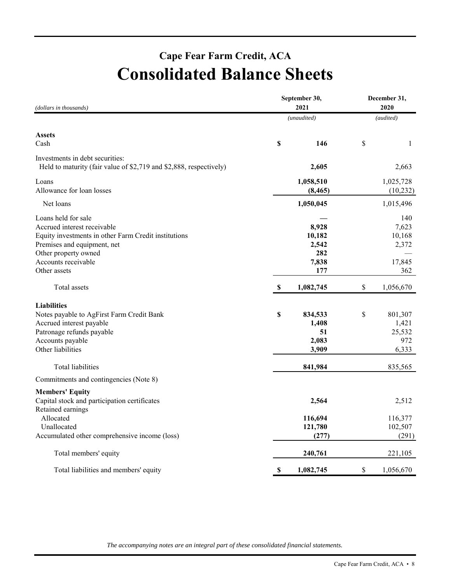# **Cape Fear Farm Credit, ACA Consolidated Balance Sheets**

| (dollars in thousands)                                                                                                                                                                                   |             | September 30,<br>2021                           | December 31,<br>2020                             |
|----------------------------------------------------------------------------------------------------------------------------------------------------------------------------------------------------------|-------------|-------------------------------------------------|--------------------------------------------------|
| Net loans<br>Total assets<br>Total liabilities<br>Retained earnings<br>Allocated<br>Unallocated<br>Accumulated other comprehensive income (loss)<br>Total members' equity                                |             | (unaudited)                                     | (audited)                                        |
| <b>Assets</b><br>Cash                                                                                                                                                                                    | \$          | 146                                             | \$<br>1                                          |
| Investments in debt securities:<br>Held to maturity (fair value of \$2,719 and \$2,888, respectively)                                                                                                    |             | 2,605                                           | 2,663                                            |
| Loans<br>Allowance for loan losses                                                                                                                                                                       |             | 1,058,510<br>(8, 465)                           | 1,025,728<br>(10, 232)                           |
|                                                                                                                                                                                                          |             | 1,050,045                                       | 1,015,496                                        |
| Loans held for sale<br>Accrued interest receivable<br>Equity investments in other Farm Credit institutions<br>Premises and equipment, net<br>Other property owned<br>Accounts receivable<br>Other assets |             | 8,928<br>10,182<br>2,542<br>282<br>7,838<br>177 | 140<br>7,623<br>10,168<br>2,372<br>17,845<br>362 |
|                                                                                                                                                                                                          | \$          | 1,082,745                                       | \$<br>1,056,670                                  |
| <b>Liabilities</b><br>Notes payable to AgFirst Farm Credit Bank<br>Accrued interest payable<br>Patronage refunds payable<br>Accounts payable<br>Other liabilities                                        | \$          | 834,533<br>1,408<br>51<br>2,083<br>3,909        | \$<br>801,307<br>1,421<br>25,532<br>972<br>6,333 |
|                                                                                                                                                                                                          |             | 841,984                                         | 835,565                                          |
| Commitments and contingencies (Note 8)                                                                                                                                                                   |             |                                                 |                                                  |
| <b>Members' Equity</b><br>Capital stock and participation certificates                                                                                                                                   |             | 2,564                                           | 2,512                                            |
|                                                                                                                                                                                                          |             | 116,694<br>121,780<br>(277)                     | 116,377<br>102,507<br>(291)                      |
|                                                                                                                                                                                                          |             | 240,761                                         | 221,105                                          |
| Total liabilities and members' equity                                                                                                                                                                    | $\mathbf S$ | 1,082,745                                       | \$<br>1,056,670                                  |

*The accompanying notes are an integral part of these consolidated financial statements.*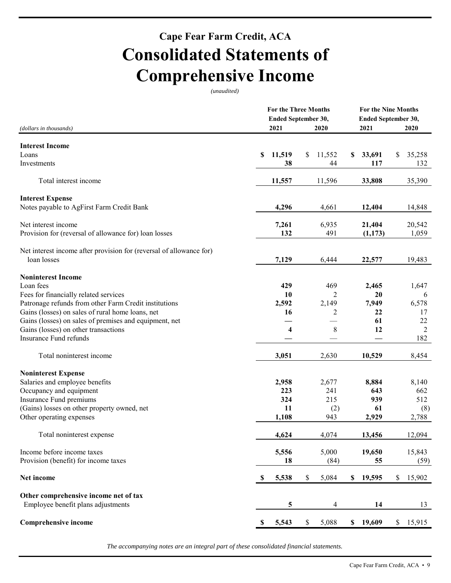# **Cape Fear Farm Credit, ACA Consolidated Statements of Comprehensive Income**

*(unaudited)* 

|                                                                     |             | <b>For the Three Months</b> |                |             | <b>For the Nine Months</b> |              |                |
|---------------------------------------------------------------------|-------------|-----------------------------|----------------|-------------|----------------------------|--------------|----------------|
|                                                                     |             | Ended September 30,         |                |             | Ended September 30,        |              |                |
| (dollars in thousands)                                              |             | 2021                        | 2020           |             | 2021                       |              | 2020           |
| <b>Interest Income</b>                                              |             |                             |                |             |                            |              |                |
| Loans                                                               | \$          | 11,519                      | \$<br>11,552   | \$          | 33,691                     | \$           | 35,258         |
| Investments                                                         |             | 38                          | 44             |             | 117                        |              | 132            |
| Total interest income                                               |             | 11,557                      | 11,596         |             | 33,808                     |              | 35,390         |
| <b>Interest Expense</b>                                             |             |                             |                |             |                            |              |                |
| Notes payable to AgFirst Farm Credit Bank                           |             | 4,296                       | 4,661          |             | 12,404                     |              | 14,848         |
| Net interest income                                                 |             | 7,261                       | 6,935          |             | 21,404                     |              | 20,542         |
| Provision for (reversal of allowance for) loan losses               |             | 132                         | 491            |             | (1,173)                    |              | 1,059          |
| Net interest income after provision for (reversal of allowance for) |             |                             |                |             |                            |              |                |
| loan losses                                                         |             | 7,129                       | 6,444          |             | 22,577                     |              | 19,483         |
| <b>Noninterest Income</b>                                           |             |                             |                |             |                            |              |                |
| Loan fees                                                           |             | 429                         | 469            |             | 2,465                      |              | 1,647          |
| Fees for financially related services                               |             | 10                          | $\overline{2}$ |             | 20                         |              | 6              |
| Patronage refunds from other Farm Credit institutions               |             | 2,592                       | 2,149          |             | 7,949                      |              | 6,578          |
| Gains (losses) on sales of rural home loans, net                    |             | 16                          | 2              |             | 22                         |              | 17             |
| Gains (losses) on sales of premises and equipment, net              |             |                             |                |             | 61                         |              | 22             |
| Gains (losses) on other transactions                                |             | $\overline{\mathbf{4}}$     | 8              |             | 12                         |              | $\overline{2}$ |
| Insurance Fund refunds                                              |             |                             |                |             |                            |              | 182            |
| Total noninterest income                                            |             | 3,051                       | 2,630          |             | 10,529                     |              | 8,454          |
| <b>Noninterest Expense</b>                                          |             |                             |                |             |                            |              |                |
| Salaries and employee benefits                                      |             | 2,958                       | 2,677          |             | 8,884                      |              | 8,140          |
| Occupancy and equipment                                             |             | 223                         | 241            |             | 643                        |              | 662            |
| Insurance Fund premiums                                             |             | 324                         | 215            |             | 939                        |              | 512            |
| (Gains) losses on other property owned, net                         |             | 11                          | (2)            |             | 61                         |              | (8)            |
| Other operating expenses                                            |             | 1,108                       | 943            |             | 2,929                      |              | 2,788          |
| Total noninterest expense                                           |             | 4,624                       | 4,074          |             | 13,456                     |              | 12,094         |
| Income before income taxes                                          |             | 5,556                       | 5,000          |             | 19,650                     |              | 15,843         |
| Provision (benefit) for income taxes                                |             | 18                          | (84)           |             | 55                         |              | (59)           |
| Net income                                                          | $\mathbf S$ | 5,538                       | \$<br>5,084    | $\mathbf S$ | 19,595                     | $\mathbb{S}$ | 15,902         |
| Other comprehensive income net of tax                               |             |                             |                |             |                            |              |                |
| Employee benefit plans adjustments                                  |             | 5                           | 4              |             | 14                         |              | 13             |
| <b>Comprehensive income</b>                                         | - \$        | 5,543                       | \$<br>5,088    |             | \$19,609                   |              | \$15,915       |

*The accompanying notes are an integral part of these consolidated financial statements.*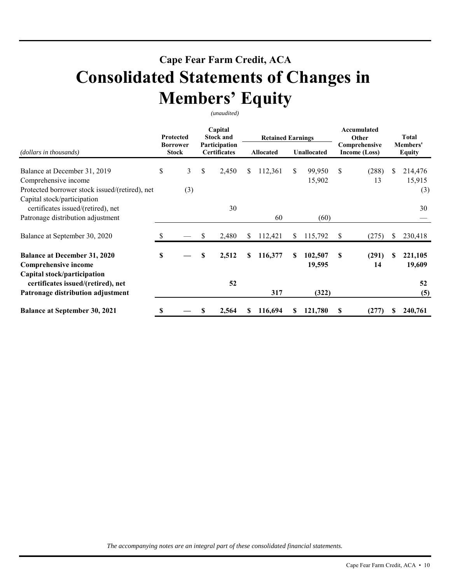# **Cape Fear Farm Credit, ACA Consolidated Statements of Changes in Members' Equity**

*(unaudited)* 

|                                                                                                        | Protected<br><b>Borrower</b><br><b>Stock</b> |          | Capital<br><b>Stock and</b><br>Participation<br><b>Certificates</b> |       |           | <b>Retained Earnings</b> |                    |                   |                                | Accumulated<br>Other | Total                     |                          |
|--------------------------------------------------------------------------------------------------------|----------------------------------------------|----------|---------------------------------------------------------------------|-------|-----------|--------------------------|--------------------|-------------------|--------------------------------|----------------------|---------------------------|--------------------------|
| (dollars in thousands)                                                                                 |                                              |          |                                                                     |       | Allocated |                          | <b>Unallocated</b> |                   | Comprehensive<br>Income (Loss) |                      | Members'<br><b>Equity</b> |                          |
| Balance at December 31, 2019<br>Comprehensive income<br>Protected borrower stock issued/(retired), net | \$                                           | 3<br>(3) | \$                                                                  | 2,450 | \$        | 112,361                  | \$                 | 99,950<br>15,902  | \$                             | (288)<br>13          | S                         | 214,476<br>15,915<br>(3) |
| Capital stock/participation<br>certificates issued/(retired), net<br>Patronage distribution adjustment |                                              |          |                                                                     | 30    |           | 60                       |                    | (60)              |                                |                      |                           | 30                       |
| Balance at September 30, 2020                                                                          |                                              |          | \$                                                                  | 2,480 | \$        | 112,421                  | \$                 | 115,792           | \$                             | (275)                |                           | 230,418                  |
| <b>Balance at December 31, 2020</b><br>Comprehensive income                                            | S                                            |          | \$                                                                  | 2,512 | S.        | 116,377                  | S                  | 102,507<br>19,595 | S                              | (291)<br>14          | S                         | 221,105<br>19,609        |
| Capital stock/participation<br>certificates issued/(retired), net<br>Patronage distribution adjustment |                                              |          |                                                                     | 52    |           | 317                      |                    | (322)             |                                |                      |                           | 52<br>(5)                |
| <b>Balance at September 30, 2021</b>                                                                   | S                                            |          |                                                                     | 2,564 |           | 116,694                  | S.                 | 121,780           | S                              | (277)                |                           | 240,761                  |

*The accompanying notes are an integral part of these consolidated financial statements.*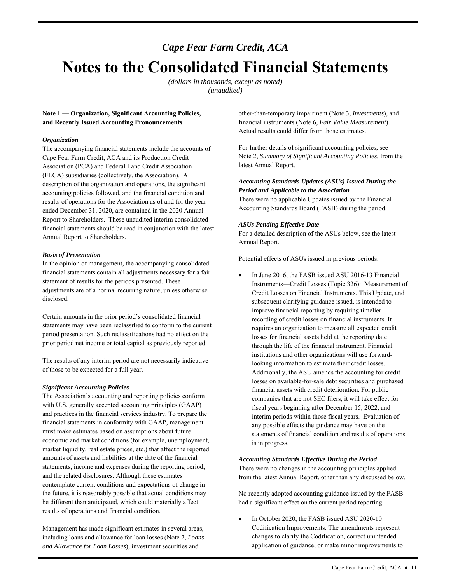# *Cape Fear Farm Credit, ACA*  **Notes to the Consolidated Financial Statements**

*(dollars in thousands, except as noted) (unaudited)* 

### **Note 1 — Organization, Significant Accounting Policies, and Recently Issued Accounting Pronouncements**

#### *Organization*

The accompanying financial statements include the accounts of Cape Fear Farm Credit, ACA and its Production Credit Association (PCA) and Federal Land Credit Association (FLCA) subsidiaries (collectively, the Association). A description of the organization and operations, the significant accounting policies followed, and the financial condition and results of operations for the Association as of and for the year ended December 31, 2020, are contained in the 2020 Annual Report to Shareholders. These unaudited interim consolidated financial statements should be read in conjunction with the latest Annual Report to Shareholders.

### *Basis of Presentation*

In the opinion of management, the accompanying consolidated financial statements contain all adjustments necessary for a fair statement of results for the periods presented. These adjustments are of a normal recurring nature, unless otherwise disclosed.

Certain amounts in the prior period's consolidated financial statements may have been reclassified to conform to the current period presentation. Such reclassifications had no effect on the prior period net income or total capital as previously reported.

 The results of any interim period are not necessarily indicative of those to be expected for a full year.

#### *Significant Accounting Policies*

 The Association's accounting and reporting policies conform financial statements in conformity with GAAP, management market liquidity, real estate prices, etc.) that affect the reported with U.S. generally accepted accounting principles (GAAP) and practices in the financial services industry. To prepare the must make estimates based on assumptions about future economic and market conditions (for example, unemployment, amounts of assets and liabilities at the date of the financial statements, income and expenses during the reporting period, and the related disclosures. Although these estimates contemplate current conditions and expectations of change in the future, it is reasonably possible that actual conditions may be different than anticipated, which could materially affect results of operations and financial condition.

 Management has made significant estimates in several areas, including loans and allowance for loan losses (Note 2, *Loans and Allowance for Loan Losses*), investment securities and

other-than-temporary impairment (Note 3, *Investments*), and financial instruments (Note 6, *Fair Value Measurement*). Actual results could differ from those estimates.

For further details of significant accounting policies, see Note 2, *Summary of Significant Accounting Policies*, from the latest Annual Report.

# *Accounting Standards Updates (ASUs) Issued During the Period and Applicable to the Association*

There were no applicable Updates issued by the Financial Accounting Standards Board (FASB) during the period.

### *ASUs Pending Effective Date*

 For a detailed description of the ASUs below, see the latest Annual Report.

Potential effects of ASUs issued in previous periods:

 subsequent clarifying guidance issued, is intended to companies that are not SEC filers, it will take effect for any possible effects the guidance may have on the In June 2016, the FASB issued ASU 2016-13 Financial Instruments—Credit Losses (Topic 326): Measurement of Credit Losses on Financial Instruments. This Update, and improve financial reporting by requiring timelier recording of credit losses on financial instruments. It requires an organization to measure all expected credit losses for financial assets held at the reporting date through the life of the financial instrument. Financial institutions and other organizations will use forwardlooking information to estimate their credit losses. Additionally, the ASU amends the accounting for credit losses on available-for-sale debt securities and purchased financial assets with credit deterioration. For public fiscal years beginning after December 15, 2022, and interim periods within those fiscal years. Evaluation of statements of financial condition and results of operations is in progress.

#### *Accounting Standards Effective During the Period*

 There were no changes in the accounting principles applied from the latest Annual Report, other than any discussed below.

 No recently adopted accounting guidance issued by the FASB had a significant effect on the current period reporting.

 In October 2020, the FASB issued ASU 2020-10 Codification Improvements. The amendments represent changes to clarify the Codification, correct unintended application of guidance, or make minor improvements to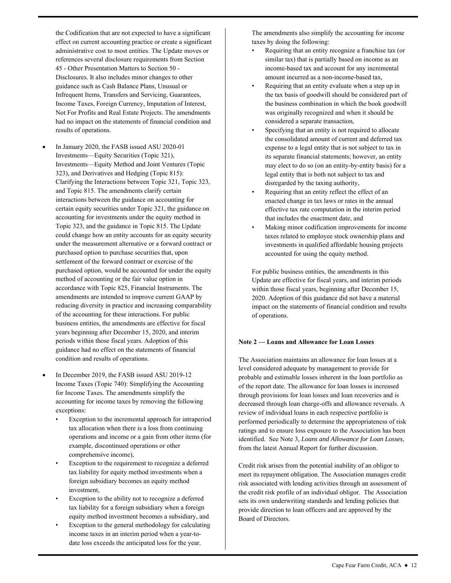the Codification that are not expected to have a significant effect on current accounting practice or create a significant references several disclosure requirements from Section Income Taxes, Foreign Currency, Imputation of Interest, Not For Profits and Real Estate Projects. The amendments administrative cost to most entities. The Update moves or 45 - Other Presentation Matters to Section 50 - Disclosures. It also includes minor changes to other guidance such as Cash Balance Plans, Unusual or Infrequent Items, Transfers and Servicing, Guarantees, had no impact on the statements of financial condition and results of operations.

- and Topic 815. The amendments clarify certain settlement of the forward contract or exercise of the purchased option, would be accounted for under the equity method of accounting or the fair value option in reducing diversity in practice and increasing comparability business entities, the amendments are effective for fiscal condition and results of operations. In January 2020, the FASB issued ASU 2020-01 Investments—Equity Securities (Topic 321), Investments—Equity Method and Joint Ventures (Topic 323), and Derivatives and Hedging (Topic 815): Clarifying the Interactions between Topic 321, Topic 323, interactions between the guidance on accounting for certain equity securities under Topic 321, the guidance on accounting for investments under the equity method in Topic 323, and the guidance in Topic 815. The Update could change how an entity accounts for an equity security under the measurement alternative or a forward contract or purchased option to purchase securities that, upon accordance with Topic 825, Financial Instruments. The amendments are intended to improve current GAAP by of the accounting for these interactions. For public years beginning after December 15, 2020, and interim periods within those fiscal years. Adoption of this guidance had no effect on the statements of financial
- In December 2019, the FASB issued ASU 2019-12 Income Taxes (Topic 740): Simplifying the Accounting for Income Taxes. The amendments simplify the accounting for income taxes by removing the following exceptions:
	- tax allocation when there is a loss from continuing Exception to the incremental approach for intraperiod operations and income or a gain from other items (for example, discontinued operations or other comprehensive income),
	- Exception to the requirement to recognize a deferred tax liability for equity method investments when a foreign subsidiary becomes an equity method investment,
	- Exception to the ability not to recognize a deferred tax liability for a foreign subsidiary when a foreign equity method investment becomes a subsidiary, and
	- date loss exceeds the anticipated loss for the year. Exception to the general methodology for calculating income taxes in an interim period when a year-to-

The amendments also simplify the accounting for income taxes by doing the following:

- similar tax) that is partially based on income as an • Requiring that an entity recognize a franchise tax (or income-based tax and account for any incremental amount incurred as a non-income-based tax,
- Requiring that an entity evaluate when a step up in the tax basis of goodwill should be considered part of the business combination in which the book goodwill was originally recognized and when it should be considered a separate transaction,
- • Specifying that an entity is not required to allocate its separate financial statements; however, an entity may elect to do so (on an entity-by-entity basis) for a legal entity that is both not subject to tax and the consolidated amount of current and deferred tax expense to a legal entity that is not subject to tax in disregarded by the taxing authority,
- enacted change in tax laws or rates in the annual Requiring that an entity reflect the effect of an effective tax rate computation in the interim period that includes the enactment date, and
- Making minor codification improvements for income taxes related to employee stock ownership plans and investments in qualified affordable housing projects accounted for using the equity method.

For public business entities, the amendments in this Update are effective for fiscal years, and interim periods within those fiscal years, beginning after December 15, 2020. Adoption of this guidance did not have a material impact on the statements of financial condition and results of operations.

# **Note 2 — Loans and Allowance for Loan Losses**

 The Association maintains an allowance for loan losses at a probable and estimable losses inherent in the loan portfolio as identified. See Note 3, *Loans and Allowance for Loan Losses*, from the latest Annual Report for further discussion. level considered adequate by management to provide for of the report date. The allowance for loan losses is increased through provisions for loan losses and loan recoveries and is decreased through loan charge-offs and allowance reversals. A review of individual loans in each respective portfolio is performed periodically to determine the appropriateness of risk ratings and to ensure loss exposure to the Association has been

 Credit risk arises from the potential inability of an obligor to meet its repayment obligation. The Association manages credit risk associated with lending activities through an assessment of the credit risk profile of an individual obligor. The Association sets its own underwriting standards and lending policies that provide direction to loan officers and are approved by the Board of Directors.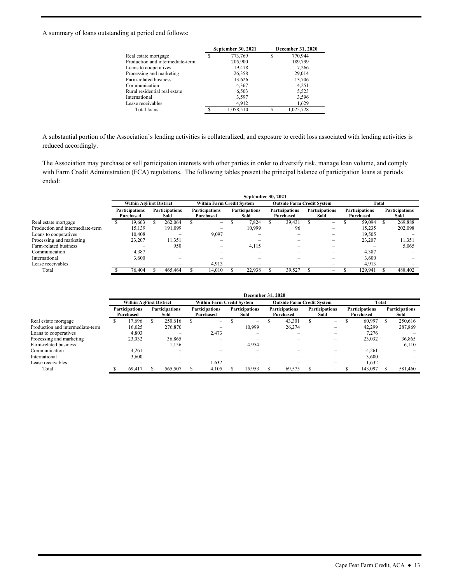#### A summary of loans outstanding at period end follows:

|                                  | September 30, 2021 |   | <b>December 31, 2020</b> |
|----------------------------------|--------------------|---|--------------------------|
| Real estate mortgage             | 773,769            | S | 770.944                  |
| Production and intermediate-term | 205,900            |   | 189,799                  |
| Loans to cooperatives            | 19.478             |   | 7,266                    |
| Processing and marketing         | 26,358             |   | 29,014                   |
| Farm-related business            | 13,626             |   | 13,706                   |
| Communication                    | 4,367              |   | 4.251                    |
| Rural residential real estate    | 6,503              |   | 5,523                    |
| International                    | 3.597              |   | 3,596                    |
| Lease receivables                | 4.912              |   | 1,629                    |
| Total loans                      | 1.058.510          |   | 1.025.728                |

A substantial portion of the Association's lending activities is collateralized, and exposure to credit loss associated with lending activities is reduced accordingly.

 The Association may purchase or sell participation interests with other parties in order to diversify risk, manage loan volume, and comply with Farm Credit Administration (FCA) regulations. The following tables present the principal balance of participation loans at periods ended:

|                                  |                   |                                    |                               |  |                                    |  | <b>September 30, 2021</b>     |  |                                    |  |                               |       |                                    |  |                               |  |
|----------------------------------|-------------------|------------------------------------|-------------------------------|--|------------------------------------|--|-------------------------------|--|------------------------------------|--|-------------------------------|-------|------------------------------------|--|-------------------------------|--|
|                                  |                   | <b>Within AgFirst District</b>     |                               |  | <b>Within Farm Credit System</b>   |  |                               |  | <b>Outside Farm Credit System</b>  |  |                               | Total |                                    |  |                               |  |
|                                  |                   | <b>Participations</b><br>Purchased | <b>Participations</b><br>Sold |  | <b>Participations</b><br>Purchased |  | <b>Participations</b><br>Sold |  | <b>Participations</b><br>Purchased |  | <b>Participations</b><br>Sold |       | <b>Participations</b><br>Purchased |  | <b>Participations</b><br>Sold |  |
| Real estate mortgage             | 262,064<br>19.663 |                                    | $-$                           |  | 7.824                              |  | 39.431                        |  | $\overline{\phantom{0}}$           |  | 59.094                        |       | 269,888                            |  |                               |  |
| Production and intermediate-term |                   | 15.139                             | 191,099                       |  | -                                  |  | 10.999                        |  | 96                                 |  | $\overline{\phantom{0}}$      |       | 15.235                             |  | 202,098                       |  |
| Loans to cooperatives            |                   | 10.408                             |                               |  | 9,097                              |  |                               |  |                                    |  | $\overline{\phantom{0}}$      |       | 19.505                             |  |                               |  |
| Processing and marketing         |                   | 23,207                             | 11,351                        |  |                                    |  |                               |  |                                    |  |                               |       | 23,207                             |  | 11,351                        |  |
| Farm-related business            |                   |                                    | 950                           |  |                                    |  | 4,115                         |  |                                    |  | -                             |       |                                    |  | 5,065                         |  |
| Communication                    |                   | 4,387                              |                               |  |                                    |  |                               |  |                                    |  | $\overline{\phantom{0}}$      |       | 4,387                              |  |                               |  |
| International                    |                   | 3,600                              | -                             |  |                                    |  |                               |  |                                    |  | $\overline{\phantom{0}}$      |       | 3.600                              |  |                               |  |
| Lease receivables                |                   | -                                  | -                             |  | 4.913                              |  | -                             |  |                                    |  | $\overline{\phantom{0}}$      |       | 4.913                              |  |                               |  |
| Total                            |                   | 76,404                             | 465,464                       |  | 14.010                             |  | 22.938                        |  | 39.527                             |  | -                             |       | 129.941                            |  | 488,402                       |  |

|                                  |                                    |                               |                          |                                    |  | December 31, 2020             |  |                                    |  |                               |       |                                    |  |                               |
|----------------------------------|------------------------------------|-------------------------------|--------------------------|------------------------------------|--|-------------------------------|--|------------------------------------|--|-------------------------------|-------|------------------------------------|--|-------------------------------|
|                                  | <b>Within AgFirst District</b>     |                               |                          | <b>Within Farm Credit System</b>   |  |                               |  | <b>Outside Farm Credit System</b>  |  |                               | Total |                                    |  |                               |
|                                  | <b>Participations</b><br>Purchased | <b>Participations</b><br>Sold |                          | <b>Participations</b><br>Purchased |  | <b>Participations</b><br>Sold |  | <b>Participations</b><br>Purchased |  | <b>Participations</b><br>Sold |       | <b>Participations</b><br>Purchased |  | <b>Participations</b><br>Sold |
| Real estate mortgage             | 17.696                             |                               | 250.616                  | $\overline{\phantom{a}}$           |  | $\overline{\phantom{0}}$      |  | 43,301                             |  | $-$                           |       | 60,997                             |  | 250,616                       |
| Production and intermediate-term | 16,025                             |                               | 276,870                  | -                                  |  | 10,999                        |  | 26,274                             |  | -                             |       | 42.299                             |  | 287,869                       |
| Loans to cooperatives            | 4,803                              |                               |                          | 2,473                              |  |                               |  |                                    |  | -                             |       | 7,276                              |  |                               |
| Processing and marketing         | 23,032                             |                               | 36,865                   | -                                  |  |                               |  |                                    |  | -                             |       | 23,032                             |  | 36,865                        |
| Farm-related business            | -                                  |                               | 1,156                    | -                                  |  | 4,954                         |  | $\overline{\phantom{0}}$           |  | -                             |       | -                                  |  | 6.110                         |
| Communication                    | 4.261                              |                               |                          |                                    |  |                               |  |                                    |  | -                             |       | 4,261                              |  |                               |
| International                    | 3,600                              |                               |                          |                                    |  |                               |  |                                    |  | -                             |       | 3,600                              |  |                               |
| Lease receivables                | -                                  |                               | $\overline{\phantom{0}}$ | 1,632                              |  | $\overline{\phantom{0}}$      |  | $\overline{\phantom{0}}$           |  | -                             |       | 1,632                              |  |                               |
| Total                            | 69.417                             |                               | 565,507                  | 4,105                              |  | 5.953                         |  | 69.575                             |  | -                             |       | 143,097                            |  | 581.460                       |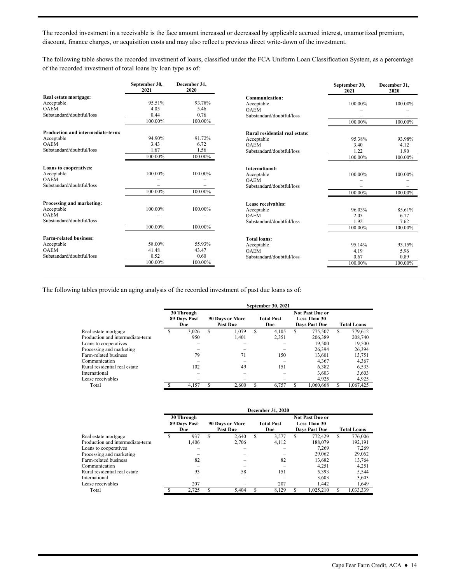discount, finance charges, or acquisition costs and may also reflect a previous direct write-down of the investment. The recorded investment in a receivable is the face amount increased or decreased by applicable accrued interest, unamortized premium,

The following table shows the recorded investment of loans, classified under the FCA Uniform Loan Classification System, as a percentage of the recorded investment of total loans by loan type as of:

|                                   | September 30,<br>2021 | December 31.<br>2020 |                                | September 30,<br>2021 | December 31.<br>2020 |
|-----------------------------------|-----------------------|----------------------|--------------------------------|-----------------------|----------------------|
| Real estate mortgage:             |                       |                      | <b>Communication:</b>          |                       |                      |
| Acceptable                        | 95.51%                | 93.78%               | Acceptable                     | 100.00%               | 100.00%              |
| <b>OAEM</b>                       | 4.05                  | 5.46                 | <b>OAEM</b>                    |                       |                      |
| Substandard/doubtful/loss         | 0.44                  | 0.76                 | Substandard/doubtful/loss      |                       |                      |
|                                   | 100.00%               | 100.00%              |                                | 100.00%               | 100.00%              |
| Production and intermediate-term: |                       |                      | Rural residential real estate: |                       |                      |
| Acceptable                        | 94.90%                | 91.72%               | Acceptable                     | 95.38%                | 93.98%               |
| <b>OAEM</b>                       | 3.43                  | 6.72                 | <b>OAEM</b>                    | 3.40                  | 4.12                 |
| Substandard/doubtful/loss         | 1.67                  | 1.56                 | Substandard/doubtful/loss      | 1.22                  | 1.90                 |
|                                   | 100.00%               | 100.00%              |                                | 100.00%               | 100.00%              |
| Loans to cooperatives:            |                       |                      | <b>International:</b>          |                       |                      |
| Acceptable                        | 100.00%               | 100.00%              | Acceptable                     | 100.00%               | 100.00%              |
| <b>OAEM</b>                       |                       |                      | <b>OAEM</b>                    |                       |                      |
| Substandard/doubtful/loss         |                       |                      | Substandard/doubtful/loss      |                       |                      |
|                                   | 100.00%               | 100.00%              |                                | 100.00%               | 100.00%              |
| Processing and marketing:         |                       |                      | Lease receivables:             |                       |                      |
| Acceptable                        | 100.00%               | 100.00%              | Acceptable                     | 96.03%                | 85.61%               |
| <b>OAEM</b>                       |                       |                      | <b>OAEM</b>                    | 2.05                  | 6.77                 |
| Substandard/doubtful/loss         |                       |                      | Substandard/doubtful/loss      | 1.92                  | 7.62                 |
|                                   | 100.00%               | 100.00%              |                                | 100.00%               | 100.00%              |
| <b>Farm-related business:</b>     |                       |                      | <b>Total loans:</b>            |                       |                      |
| Acceptable                        | 58.00%                | 55.93%               | Acceptable                     | 95.14%                | 93.15%               |
| <b>OAEM</b>                       | 41.48                 | 43.47                | <b>OAEM</b>                    | 4.19                  | 5.96                 |
| Substandard/doubtful/loss         | 0.52                  | 0.60                 | Substandard/doubtful/loss      | 0.67                  | 0.89                 |
|                                   | 100.00%               | 100.00%              |                                | 100.00%               | 100.00%              |

The following tables provide an aging analysis of the recorded investment of past due loans as of:

|                                  |                                   |       |          |                                    |   | September 30, 2021       |   |                                                                |                    |           |  |
|----------------------------------|-----------------------------------|-------|----------|------------------------------------|---|--------------------------|---|----------------------------------------------------------------|--------------------|-----------|--|
|                                  | 30 Through<br>89 Days Past<br>Due |       |          | 90 Days or More<br><b>Past Due</b> |   | <b>Total Past</b><br>Due |   | <b>Not Past Due or</b><br>Less Than 30<br><b>Days Past Due</b> | <b>Total Loans</b> |           |  |
| Real estate mortgage             | \$                                | 3.026 | <b>S</b> | 1.079                              | S | 4.105                    | S | 775,507                                                        | \$.                | 779,612   |  |
| Production and intermediate-term |                                   | 950   |          | 1.401                              |   | 2,351                    |   | 206,389                                                        |                    | 208,740   |  |
| Loans to cooperatives            |                                   |       |          |                                    |   |                          |   | 19.500                                                         |                    | 19.500    |  |
| Processing and marketing         |                                   |       |          |                                    |   |                          |   | 26.394                                                         |                    | 26,394    |  |
| Farm-related business            |                                   | 79    |          | 71                                 |   | 150                      |   | 13.601                                                         |                    | 13,751    |  |
| Communication                    |                                   |       |          |                                    |   |                          |   | 4.367                                                          |                    | 4,367     |  |
| Rural residential real estate    |                                   | 102   |          | 49                                 |   | 151                      |   | 6.382                                                          |                    | 6,533     |  |
| International                    |                                   |       |          |                                    |   |                          |   | 3.603                                                          |                    | 3.603     |  |
| Lease receivables                |                                   |       |          |                                    |   |                          |   | 4,925                                                          |                    | 4,925     |  |
| Total                            |                                   | 4.157 |          | 2.600                              |   | 6.757                    |   | 1.060.668                                                      |                    | 1.067.425 |  |

|                                  |                                   |       |   |                                    |   | December 31, 2020        |   |                                                                |                    |           |  |
|----------------------------------|-----------------------------------|-------|---|------------------------------------|---|--------------------------|---|----------------------------------------------------------------|--------------------|-----------|--|
|                                  | 30 Through<br>89 Days Past<br>Due |       |   | 90 Days or More<br><b>Past Due</b> |   | <b>Total Past</b><br>Due |   | <b>Not Past Due or</b><br><b>Less Than 30</b><br>Days Past Due | <b>Total Loans</b> |           |  |
| Real estate mortgage             |                                   | 937   | S | 2.640                              | S | 3,577                    | S | 772.429                                                        | \$                 | 776,006   |  |
| Production and intermediate-term |                                   | 1.406 |   | 2.706                              |   | 4,112                    |   | 188,079                                                        |                    | 192.191   |  |
| Loans to cooperatives            |                                   |       |   |                                    |   |                          |   | 7.269                                                          |                    | 7,269     |  |
| Processing and marketing         |                                   |       |   |                                    |   |                          |   | 29,062                                                         |                    | 29,062    |  |
| Farm-related business            |                                   | 82    |   |                                    |   | 82                       |   | 13.682                                                         |                    | 13,764    |  |
| Communication                    |                                   |       |   |                                    |   |                          |   | 4.251                                                          |                    | 4,251     |  |
| Rural residential real estate    |                                   | 93    |   | 58                                 |   | 151                      |   | 5.393                                                          |                    | 5,544     |  |
| International                    |                                   |       |   |                                    |   |                          |   | 3.603                                                          |                    | 3,603     |  |
| Lease receivables                |                                   | 207   |   |                                    |   | 207                      |   | 1.442                                                          |                    | 1,649     |  |
| Total                            |                                   | 2.725 |   | 5.404                              |   | 8.129                    |   | 1,025,210                                                      |                    | 1,033,339 |  |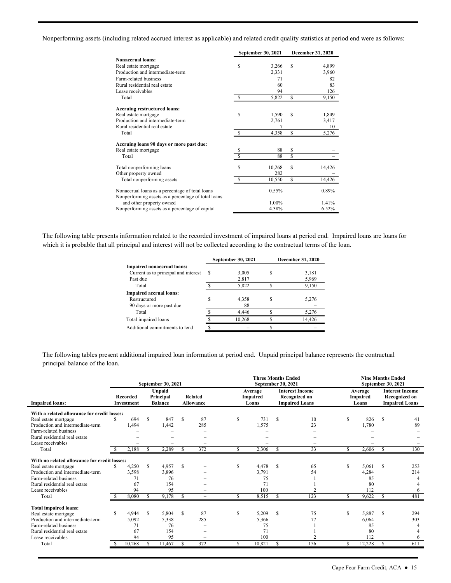Nonperforming assets (including related accrued interest as applicable) and related credit quality statistics at period end were as follows:

|                                                                                                        |               | September 30, 2021 |    | December 31, 2020 |
|--------------------------------------------------------------------------------------------------------|---------------|--------------------|----|-------------------|
| <b>Nonaccrual loans:</b>                                                                               |               |                    |    |                   |
| Real estate mortgage                                                                                   | S             | 3,266              | S  | 4,899             |
| Production and intermediate-term                                                                       |               | 2,331              |    | 3,960             |
| Farm-related business                                                                                  |               | 71                 |    | 82                |
| Rural residential real estate                                                                          |               | 60                 |    | 83                |
| Lease receivables                                                                                      |               | 94                 |    | 126               |
| Total                                                                                                  | $\mathbb{S}$  | 5,822              | \$ | 9,150             |
| <b>Accruing restructured loans:</b>                                                                    |               |                    |    |                   |
| Real estate mortgage                                                                                   | S             | 1,590              | S  | 1,849             |
| Production and intermediate-term                                                                       |               | 2,761              |    | 3,417             |
| Rural residential real estate                                                                          |               |                    |    | 10                |
| Total                                                                                                  | -S            | 4,358              | \$ | 5,276             |
| Accruing loans 90 days or more past due:                                                               |               |                    |    |                   |
| Real estate mortgage                                                                                   | \$            | 88                 | \$ |                   |
| Total                                                                                                  |               | 88                 | \$ |                   |
| Total nonperforming loans                                                                              | \$            | 10,268             | S  | 14,426            |
| Other property owned                                                                                   |               | 282                |    |                   |
| Total nonperforming assets                                                                             | <sup>\$</sup> | 10,550             | S  | 14,426            |
| Nonaccrual loans as a percentage of total loans<br>Nonperforming assets as a percentage of total loans |               | $0.55\%$           |    | 0.89%             |
| and other property owned                                                                               |               | 1.00%              |    | 1.41%             |
| Nonperforming assets as a percentage of capital                                                        |               | 4.38%              |    | 6.52%             |

 which it is probable that all principal and interest will not be collected according to the contractual terms of the loan. The following table presents information related to the recorded investment of impaired loans at period end. Impaired loans are loans for

|                                      |   | <b>September 30, 2021</b> |    | <b>December 31, 2020</b> |
|--------------------------------------|---|---------------------------|----|--------------------------|
| Impaired nonaccrual loans:           |   |                           |    |                          |
| Current as to principal and interest | S | 3,005                     | S  | 3,181                    |
| Past due                             |   | 2,817                     |    | 5,969                    |
| Total                                |   | 5,822                     | ¢  | 9,150                    |
| <b>Impaired accrual loans:</b>       |   |                           |    |                          |
| Restructured                         |   | 4,358                     | S  | 5,276                    |
| 90 days or more past due             |   | 88                        |    |                          |
| Total                                |   | 4.446                     | \$ | 5,276                    |
| Total impaired loans                 |   | 10,268                    | ¢  | 14.426                   |
| Additional commitments to lend       |   |                           |    |                          |
|                                      |   |                           |    |                          |

 The following tables present additional impaired loan information at period end. Unpaid principal balance represents the contractual principal balance of the loan.

|                                                                                                                    |     | September 30, 2021         |          |                                              |     | <b>Three Months Ended</b><br><b>September 30, 2021</b> |     |                              | <b>Nine Months Ended</b><br><b>September 30, 2021</b> |                                                                  |                                     |                            |                                                                         |            |
|--------------------------------------------------------------------------------------------------------------------|-----|----------------------------|----------|----------------------------------------------|-----|--------------------------------------------------------|-----|------------------------------|-------------------------------------------------------|------------------------------------------------------------------|-------------------------------------|----------------------------|-------------------------------------------------------------------------|------------|
| <b>Impaired loans:</b>                                                                                             |     | Recorded<br>Investment     |          | <b>Unpaid</b><br>Principal<br><b>Balance</b> |     | <b>Related</b><br><b>Allowance</b>                     |     | Average<br>Impaired<br>Loans |                                                       | <b>Interest Income</b><br>Recognized on<br><b>Impaired Loans</b> | Average<br><b>Impaired</b><br>Loans |                            | <b>Interest Income</b><br><b>Recognized on</b><br><b>Impaired Loans</b> |            |
| With a related allowance for credit losses:                                                                        |     |                            |          |                                              |     |                                                        |     |                              |                                                       |                                                                  |                                     |                            |                                                                         |            |
| Real estate mortgage<br>Production and intermediate-term<br>Farm-related business                                  | \$. | 694<br>1,494               | <b>S</b> | 847<br>1,442                                 | S   | 87<br>285                                              | S   | 731<br>1,575                 | S                                                     | 10<br>23                                                         | S                                   | 826<br>1,780               | S                                                                       | 41<br>89   |
| Rural residential real estate<br>Lease receivables                                                                 |     |                            |          |                                              |     | -                                                      |     |                              |                                                       |                                                                  |                                     |                            |                                                                         |            |
| Total                                                                                                              |     | 2,188                      |          | 2,289                                        | S   | 372                                                    | S   | 2,306                        | \$.                                                   | 33                                                               | S                                   | 2,606                      | S                                                                       | 130        |
| With no related allowance for credit losses:                                                                       |     |                            |          |                                              |     |                                                        |     |                              |                                                       |                                                                  |                                     |                            |                                                                         |            |
| Real estate mortgage<br>Production and intermediate-term<br>Farm-related business<br>Rural residential real estate | S.  | 4,250<br>3,598<br>71<br>67 | S        | 4.957<br>3,896<br>76<br>154                  | S   |                                                        | S   | 4,478<br>3,791<br>75<br>71   | S                                                     | 65<br>54                                                         | S                                   | 5.061<br>4,284<br>85<br>80 | S                                                                       | 253<br>214 |
| Lease receivables                                                                                                  |     | 94                         |          | 95                                           |     | -                                                      |     | 100                          |                                                       | $\overline{2}$                                                   |                                     | 112                        |                                                                         | 6          |
| Total                                                                                                              |     | 8,080                      | £.       | 9,178                                        | S   | $\overline{\phantom{m}}$                               | \$. | 8,515                        | S                                                     | 123                                                              | S                                   | 9,622                      | S                                                                       | 481        |
| <b>Total impaired loans:</b>                                                                                       |     |                            |          |                                              |     |                                                        |     |                              |                                                       |                                                                  |                                     |                            |                                                                         |            |
| Real estate mortgage<br>Production and intermediate-term<br>Farm-related business<br>Rural residential real estate | S   | 4,944<br>5,092<br>71<br>67 | S        | 5,804<br>5,338<br>76<br>154                  | S   | 87<br>285                                              | S   | 5,209<br>5,366<br>75<br>71   | S                                                     | 75<br>77                                                         | \$                                  | 5,887<br>6.064<br>85<br>80 | S                                                                       | 294<br>303 |
| Lease receivables<br>Total                                                                                         |     | 94<br>10,268               | S        | 95<br>11,467                                 | \$. | $\equiv$<br>372                                        | \$. | 100<br>10,821                | S.                                                    | $\overline{2}$<br>156                                            | S                                   | 112<br>12,228              | S                                                                       | 611        |
|                                                                                                                    |     |                            |          |                                              |     |                                                        |     |                              |                                                       |                                                                  |                                     |                            |                                                                         |            |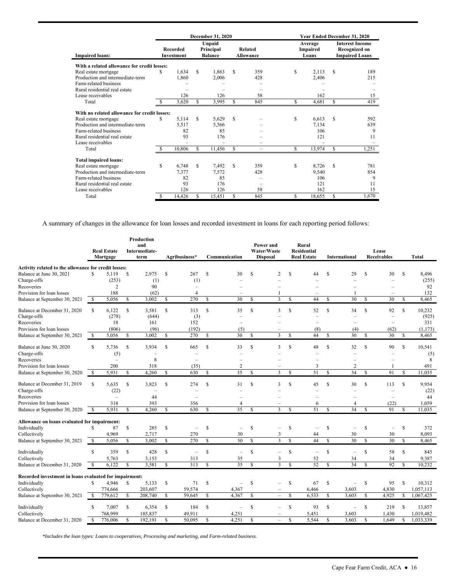|                                              |     |                                      |    | December 31, 2020                     |   |                                    | Year Ended December 31, 2020 |                              |                                                                         |       |  |  |
|----------------------------------------------|-----|--------------------------------------|----|---------------------------------------|---|------------------------------------|------------------------------|------------------------------|-------------------------------------------------------------------------|-------|--|--|
| <b>Impaired loans:</b>                       |     | <b>Recorded</b><br><b>Investment</b> |    | Unpaid<br>Principal<br><b>Balance</b> |   | <b>Related</b><br><b>Allowance</b> |                              | Average<br>Impaired<br>Loans | <b>Interest Income</b><br><b>Recognized on</b><br><b>Impaired Loans</b> |       |  |  |
| With a related allowance for credit losses:  |     |                                      |    |                                       |   |                                    |                              |                              |                                                                         |       |  |  |
| Real estate mortgage                         | S   | 1,634                                | S  | 1,863                                 | S | 359                                | \$                           | 2.113                        | S                                                                       | 189   |  |  |
| Production and intermediate-term             |     | 1,860                                |    | 2,006                                 |   | 428                                |                              | 2,406                        |                                                                         | 215   |  |  |
| Farm-related business                        |     |                                      |    |                                       |   |                                    |                              |                              |                                                                         |       |  |  |
| Rural residential real estate                |     |                                      |    |                                       |   |                                    |                              |                              |                                                                         |       |  |  |
| Lease receivables                            |     | 126                                  |    | 126                                   |   | 58                                 |                              | 162                          |                                                                         | 15    |  |  |
| Total                                        |     | 3,620                                | \$ | 3,995                                 | S | 845                                | S                            | 4,681                        | S                                                                       | 419   |  |  |
| With no related allowance for credit losses: |     |                                      |    |                                       |   |                                    |                              |                              |                                                                         |       |  |  |
| Real estate mortgage                         | S   | 5,114                                | S  | 5,629                                 | S |                                    | \$                           | 6,613                        | S                                                                       | 592   |  |  |
| Production and intermediate-term             |     | 5,517                                |    | 5,566                                 |   |                                    |                              | 7,134                        |                                                                         | 639   |  |  |
| Farm-related business                        |     | 82                                   |    | 85                                    |   |                                    |                              | 106                          |                                                                         | 9     |  |  |
| Rural residential real estate                |     | 93                                   |    | 176                                   |   |                                    |                              | 121                          |                                                                         | 11    |  |  |
| Lease receivables                            |     |                                      |    |                                       |   | -                                  |                              |                              |                                                                         |       |  |  |
| Total                                        | -S  | 10,806                               | \$ | 11,456                                | S | -                                  | S                            | 13,974                       | S                                                                       | 1,251 |  |  |
| <b>Total impaired loans:</b>                 |     |                                      |    |                                       |   |                                    |                              |                              |                                                                         |       |  |  |
| Real estate mortgage                         | S   | 6,748                                | S  | 7,492                                 | S | 359                                | \$                           | 8,726                        | S                                                                       | 781   |  |  |
| Production and intermediate-term             |     | 7,377                                |    | 7.572                                 |   | 428                                |                              | 9.540                        |                                                                         | 854   |  |  |
| Farm-related business                        |     | 82                                   |    | 85                                    |   |                                    |                              | 106                          |                                                                         | 9     |  |  |
| Rural residential real estate                |     | 93                                   |    | 176                                   |   |                                    |                              | 121                          |                                                                         | 11    |  |  |
| Lease receivables                            |     | 126                                  |    | 126                                   |   | 58                                 |                              | 162                          |                                                                         | 15    |  |  |
| Total                                        | \$. | 14,426                               | S. | 15,451                                | S | 845                                | S                            | 18,655                       | S                                                                       | 1.670 |  |  |

A summary of changes in the allowance for loan losses and recorded investment in loans for each reporting period follows:

|                                                        |               | <b>Real Estate</b><br>Mortgage |               | Production<br>and<br><b>Intermediate-</b><br>term |               | Agribusiness*            |               | Communication            |               | Power and<br>Water/Waste<br><b>Disposal</b> |               | Rural<br><b>Residential</b><br><b>Real Estate</b> |               | <b>International</b>     |              | Lease<br><b>Receivables</b>     |                    | <b>Total</b>    |
|--------------------------------------------------------|---------------|--------------------------------|---------------|---------------------------------------------------|---------------|--------------------------|---------------|--------------------------|---------------|---------------------------------------------|---------------|---------------------------------------------------|---------------|--------------------------|--------------|---------------------------------|--------------------|-----------------|
| Activity related to the allowance for credit losses:   |               |                                |               |                                                   |               |                          |               |                          |               |                                             |               |                                                   |               |                          |              |                                 |                    |                 |
| Balance at June 30, 2021                               | \$            | 5,119                          | \$            | 2,975                                             | \$            | 267                      | \$            | 30                       | S             | $\overline{c}$                              | S             | 44                                                | \$            | 29                       | S            | 30                              | \$                 | 8,496           |
| Charge-offs                                            |               | (253)                          |               | (1)                                               |               | (1)                      |               |                          |               |                                             |               |                                                   |               |                          |              | $\overline{\phantom{0}}$        |                    | (255)           |
| Recoveries                                             |               | $\overline{c}$                 |               | 90                                                |               | L.                       |               |                          |               |                                             |               |                                                   |               |                          |              |                                 |                    | 92              |
| Provision for loan losses                              |               | 188                            |               | (62)                                              |               | $\overline{4}$           |               |                          |               |                                             |               |                                                   |               |                          |              |                                 |                    | 132             |
| Balance at September 30, 2021                          | $\mathbb{S}$  | 5,056                          | \$            | 3,002                                             | \$            | 270                      | \$            | 30                       | <b>S</b>      | $\overline{3}$                              | $\mathbb{S}$  | 44                                                | <sup>\$</sup> | 30                       | $\mathbb{S}$ | 30                              | <sup>\$</sup>      | 8,465           |
| Balance at December 31, 2020<br>Charge-offs            | <sup>\$</sup> | 6,122<br>(278)                 | <sup>\$</sup> | 3,581<br>(644)                                    | S             | 313<br>(3)               | $\mathbb{S}$  | 35                       | \$            | 3                                           | $\mathbf S$   | 52<br>÷                                           | $\mathbf S$   | 34                       | \$           | 92<br>$\equiv$                  | \$                 | 10,232<br>(925) |
| Recoveries                                             |               | 18                             |               | 161                                               |               | 152                      |               |                          |               |                                             |               | L.                                                |               | $\sim$                   |              | $\equiv$                        |                    | 331             |
| Provision for loan losses                              |               | (806)                          |               | (96)                                              |               | (192)                    |               | (5)                      |               |                                             |               | (8)                                               |               | (4)                      |              | (62)                            |                    | (1, 173)        |
| Balance at September 30, 2021                          | \$            | 5,056                          | \$            | 3,002                                             | S             | 270                      | S             | 30                       | S             | 3                                           | S             | 44                                                | S             | 30                       | S            | 30                              | S                  | 8,465           |
| Balance at June 30, 2020<br>Charge-offs                | $\mathbb{S}$  | 5,736<br>(5)                   | \$            | 3.934<br>$\overline{\phantom{a}}$                 | <sup>\$</sup> | 665<br>L.                | $\mathbb{S}$  | 33                       | <b>S</b>      | $\mathbf{3}$                                | <b>S</b>      | 48<br>L.                                          | $\mathbf S$   | 32                       | <b>S</b>     | 90<br>$\overline{\phantom{a}}$  | $\mathbb{S}$       | 10,541<br>(5)   |
| Recoveries                                             |               | ÷                              |               | 8                                                 |               | $\overline{\phantom{0}}$ |               |                          |               |                                             |               | $\overline{\phantom{0}}$                          |               |                          |              |                                 |                    | 8               |
| Provision for loan losses                              |               | 200                            |               | 318                                               |               | (35)                     |               | $\overline{c}$           |               |                                             |               | 3                                                 |               | $\overline{2}$           |              |                                 |                    | 491             |
| Balance at September 30, 2020                          | <sup>\$</sup> | 5,931                          | S             | 4.260                                             | S             | 630                      | S             | 35                       | <sup>S</sup>  | 3                                           | <sup>\$</sup> | 51                                                | S.            | 34                       | <b>S</b>     | 91                              | <sup>\$</sup>      | 11.035          |
| Balance at December 31, 2019<br>Charge-offs            | <sup>\$</sup> | 5,635<br>(22)                  | <sup>\$</sup> | 3,823<br>$\overline{\phantom{a}}$                 | S             | 274<br>÷                 | \$            | 31                       | <b>S</b>      | 3                                           | S             | 45<br>÷                                           | S             | 30<br>÷                  | \$           | 113<br>$\overline{\phantom{a}}$ | \$                 | 9,954<br>(22)   |
| Recoveries                                             |               | L.                             |               | 44                                                |               |                          |               |                          |               |                                             |               | $\overline{\phantom{0}}$                          |               |                          |              | $\overline{\phantom{a}}$        |                    | 44              |
| Provision for loan losses                              |               | 318                            |               | 393                                               |               | 356                      |               | 4                        |               |                                             |               | 6                                                 |               | $\overline{4}$           |              | (22)                            |                    | 1,059           |
| Balance at September 30, 2020                          | <sup>\$</sup> | 5,931                          | <sup>\$</sup> | 4,260                                             | <sup>\$</sup> | 630                      | <sup>\$</sup> | 35                       | <sup>S</sup>  | 3                                           | S             | 51                                                | S             | 34                       | S            | 91                              | $\mathbf{\hat{s}}$ | 11,035          |
| Allowance on loans evaluated for impairment:           |               |                                |               |                                                   |               |                          |               |                          |               |                                             |               |                                                   |               |                          |              |                                 |                    |                 |
| Individually                                           | S             | 87                             | S             | 285                                               | <sup>\$</sup> | L.                       | \$            | L.                       | $\mathbb{S}$  |                                             | <sup>\$</sup> | Ľ.                                                | S             |                          | \$           | $\overline{\phantom{0}}$        | \$                 | 372             |
| Collectively                                           |               | 4,969                          |               | 2,717                                             |               | 270                      |               | 30                       |               | 3                                           |               | 44                                                |               | 30                       |              | 30                              |                    | 8,093           |
| Balance at September 30, 2021                          | \$            | 5,056                          | \$            | 3,002                                             | \$            | 270                      | \$            | 30                       | $\mathbb{S}$  | 3                                           | $\mathbb{S}$  | 44                                                | S             | $\overline{30}$          | $\mathbb{S}$ | 30                              | \$                 | 8,465           |
|                                                        |               |                                |               |                                                   |               |                          |               |                          |               |                                             |               |                                                   |               |                          |              |                                 |                    |                 |
| Individually                                           | S             | 359                            | S             | 428                                               | S             | $\overline{\phantom{0}}$ | S             | $\overline{\phantom{0}}$ | S             | $\overline{\phantom{0}}$                    | <sup>\$</sup> | $\overline{\phantom{a}}$                          | <sup>\$</sup> | $\equiv$                 | $\mathbb{S}$ | 58                              | <sup>\$</sup>      | 845             |
| Collectively                                           |               | 5,763                          |               | 3,153                                             |               | 313                      |               | 35                       |               | 3                                           |               | 52                                                |               | 34                       |              | 34                              |                    | 9,387           |
| Balance at December 31, 2020                           | <sup>\$</sup> | 6,122                          | \$            | 3,581                                             | <sup>\$</sup> | 313                      | $\mathbb{S}$  | $\overline{35}$          | <b>S</b>      | 3                                           | <b>S</b>      | 52                                                | $\mathbf S$   | 34                       | <b>S</b>     | 92                              | <sup>\$</sup>      | 10.232          |
| Recorded investment in loans evaluated for impairment: |               |                                |               |                                                   |               |                          |               |                          |               |                                             |               |                                                   |               |                          |              |                                 |                    |                 |
| Individually                                           | S             | 4,946                          | \$            | 5,133                                             | \$            | 71                       | \$            | $\overline{\phantom{0}}$ | $\mathbb{S}$  |                                             | $\mathbb{S}$  | 67                                                | \$            | $\overline{\phantom{0}}$ | \$           | 95                              | $\mathbb{S}$       | 10,312          |
| Collectively                                           |               | 774,666                        |               | 203,607                                           |               | 59,574                   |               | 4,367                    |               |                                             |               | 6,466                                             |               | 3,603                    |              | 4,830                           |                    | 1,057,113       |
| Balance at September 30, 2021                          | <sup>\$</sup> | 779,612                        | S             | 208,740                                           | S             | 59,645                   | \$            | 4,367                    | $\mathsf{\$}$ | $\equiv$                                    | \$            | 6,533                                             | <sup>\$</sup> | 3,603                    | S            | 4,925                           | S                  | 1,067,425       |
| Individually                                           | S             | 7.007                          | S             | 6,354                                             | S             | 184                      | S             | L,                       | <b>S</b>      | $\overline{\phantom{0}}$                    | <sup>\$</sup> | 93                                                | S             | $\equiv$                 | S            | 219                             | <sup>\$</sup>      | 13,857          |
| Collectively                                           |               | 768,999                        |               | 185,837                                           |               | 49,911                   |               | 4,251                    |               |                                             |               | 5,451                                             |               | 3,603                    |              | 1,430                           |                    | 1,019,482       |
| Balance at December 31, 2020                           | \$            | 776,006                        | \$            | 192,191                                           | <sup>S</sup>  | 50,095                   | \$            | 4,251                    | <sup>\$</sup> |                                             | \$            | 5,544                                             | \$            | 3,603                    | \$           | 1,649                           | \$                 | 1,033,339       |

*\*Includes the loan types: Loans to cooperatives, Processing and marketing, and Farm-related business.*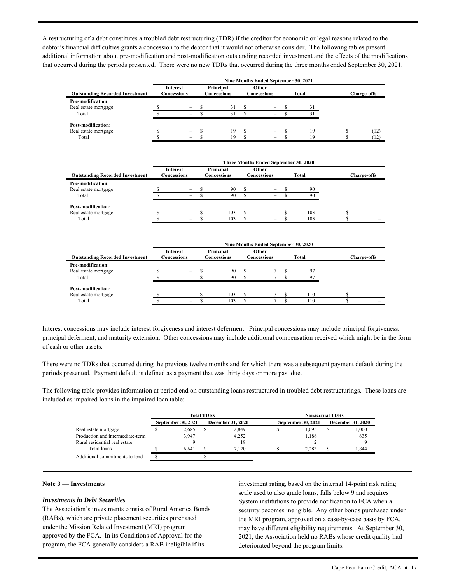A restructuring of a debt constitutes a troubled debt restructuring (TDR) if the creditor for economic or legal reasons related to the debtor's financial difficulties grants a concession to the debtor that it would not otherwise consider. The following tables present additional information about pre-modification and post-modification outstanding recorded investment and the effects of the modifications that occurred during the periods presented. There were no new TDRs that occurred during the three months ended September 30, 2021.

|                                        |  | Nine Months Ended September 30, 2021 |                          |    |                      |                          |  |       |                    |
|----------------------------------------|--|--------------------------------------|--------------------------|----|----------------------|--------------------------|--|-------|--------------------|
| <b>Outstanding Recorded Investment</b> |  | <b>Interest</b><br>Concessions       | Principal<br>Concessions |    | Other<br>Concessions |                          |  | Total | <b>Charge-offs</b> |
| Pre-modification:                      |  |                                      |                          |    |                      |                          |  |       |                    |
| Real estate mortgage                   |  | -                                    |                          | 31 |                      |                          |  | 31    |                    |
| Total                                  |  | -                                    |                          | 31 |                      | $\overline{\phantom{0}}$ |  | 31    |                    |
| <b>Post-modification:</b>              |  |                                      |                          |    |                      |                          |  |       |                    |
| Real estate mortgage                   |  | $\overline{\phantom{a}}$             |                          | 19 | \$.                  | $\overline{\phantom{0}}$ |  | 19    | (12)               |
| Total                                  |  | -                                    |                          | 19 |                      | -                        |  | 19    | (12)               |

| <b>Outstanding Recorded Investment</b>             | Interest<br>Concessions  | Principal<br>Concessions | Other<br>Concessions     |  | Total    | <b>Charge-offs</b> |  |
|----------------------------------------------------|--------------------------|--------------------------|--------------------------|--|----------|--------------------|--|
| Pre-modification:<br>Real estate mortgage<br>Total | $\overline{\phantom{a}}$ | 90<br>90                 | -<br>-                   |  | 90<br>90 |                    |  |
| Post-modification:<br>Real estate mortgage         |                          | 103                      |                          |  | 103      |                    |  |
| Total                                              | $\overline{\phantom{0}}$ | 103                      | $\overline{\phantom{0}}$ |  | 103      |                    |  |

| <b>Outstanding Recorded Investment</b>                    | <b>Interest</b><br>Concessions                       | Principal<br>Concessions | Other<br>Concessions |  | Total      | <b>Charge-offs</b> |  |
|-----------------------------------------------------------|------------------------------------------------------|--------------------------|----------------------|--|------------|--------------------|--|
| <b>Pre-modification:</b><br>Real estate mortgage<br>Total | $\overline{\phantom{a}}$<br>-                        | 90<br>90                 |                      |  | 97<br>97   |                    |  |
| Post-modification:<br>Real estate mortgage<br>Total       | $\overline{\phantom{m}}$<br>$\overline{\phantom{0}}$ | 103<br>103               |                      |  | 110<br>110 |                    |  |

 Interest concessions may include interest forgiveness and interest deferment. Principal concessions may include principal forgiveness, principal deferment, and maturity extension. Other concessions may include additional compensation received which might be in the form of cash or other assets.

 periods presented. Payment default is defined as a payment that was thirty days or more past due. There were no TDRs that occurred during the previous twelve months and for which there was a subsequent payment default during the

The following table provides information at period end on outstanding loans restructured in troubled debt restructurings. These loans are included as impaired loans in the impaired loan table:

|                                  |                           | <b>Total TDRs</b> |                          | <b>Nonaccrual TDRs</b> |                    |  |                          |  |  |  |  |
|----------------------------------|---------------------------|-------------------|--------------------------|------------------------|--------------------|--|--------------------------|--|--|--|--|
|                                  | <b>September 30, 2021</b> |                   | <b>December 31, 2020</b> |                        | September 30, 2021 |  | <b>December 31, 2020</b> |  |  |  |  |
| Real estate mortgage             | 2,685                     |                   | 2,849                    |                        | 1.095              |  | 000.1                    |  |  |  |  |
| Production and intermediate-term | 3.947                     |                   | 4.252                    |                        | 1.186              |  | 835                      |  |  |  |  |
| Rural residential real estate    |                           |                   | 19                       |                        |                    |  |                          |  |  |  |  |
| Total loans                      | 6.641                     |                   | 7.120                    |                        | 2.283              |  | .844                     |  |  |  |  |
| Additional commitments to lend   |                           |                   |                          |                        |                    |  |                          |  |  |  |  |

#### **Note 3 — Investments**

#### *Investments in Debt Securities*

 approved by the FCA. In its Conditions of Approval for the program, the FCA generally considers a RAB ineligible if its The Association's investments consist of Rural America Bonds (RABs), which are private placement securities purchased under the Mission Related Investment (MRI) program

 the MRI program, approved on a case-by-case basis by FCA, investment rating, based on the internal 14-point risk rating scale used to also grade loans, falls below 9 and requires System institutions to provide notification to FCA when a security becomes ineligible. Any other bonds purchased under may have different eligibility requirements. At September 30, 2021, the Association held no RABs whose credit quality had deteriorated beyond the program limits.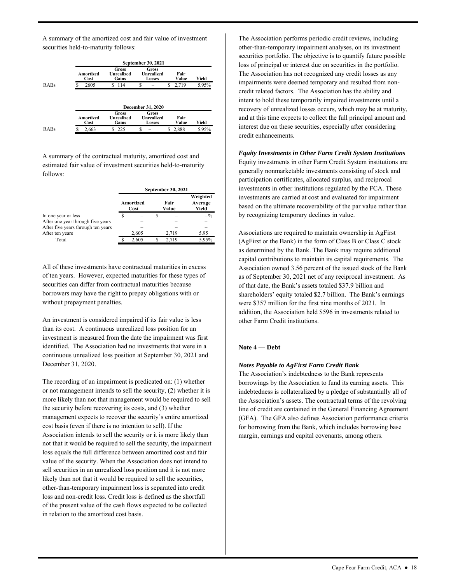A summary of the amortized cost and fair value of investment securities held-to-maturity follows:

|      |                          |                              | September 30, 2021                          |               |       |
|------|--------------------------|------------------------------|---------------------------------------------|---------------|-------|
|      | Amortized<br>Cost        | Gross<br>Unrealized<br>Gains | <b>Gross</b><br>Unrealized<br>Losses        | Fair<br>Value | Yield |
| RABs | ς<br>2605                | 114<br>S                     | S                                           | S<br>2,719    | 5.95% |
|      |                          |                              |                                             |               |       |
|      |                          |                              | <b>December 31, 2020</b>                    |               |       |
|      | <b>Amortized</b><br>Cost | Gross<br>Unrealized<br>Gains | Gross<br><b>Unrealized</b><br><b>Losses</b> | Fair<br>Value | Yield |

A summary of the contractual maturity, amortized cost and estimated fair value of investment securities held-to-maturity follows:

|                                    |                   | September 30, 2021 |               |                              |
|------------------------------------|-------------------|--------------------|---------------|------------------------------|
|                                    | Amortized<br>Cost |                    | Fair<br>Value | Weighted<br>Average<br>Yield |
| In one year or less                |                   |                    |               | $-$ %                        |
| After one year through five years  |                   |                    |               |                              |
| After five years through ten years |                   |                    |               |                              |
| After ten years                    | 2,605             |                    | 2.719         | 5.95                         |
| Total                              | 2.605             |                    | 2.719         | 5.95%                        |

 All of these investments have contractual maturities in excess borrowers may have the right to prepay obligations with or of ten years. However, expected maturities for these types of securities can differ from contractual maturities because without prepayment penalties.

 An investment is considered impaired if its fair value is less identified. The Association had no investments that were in a than its cost. A continuous unrealized loss position for an investment is measured from the date the impairment was first continuous unrealized loss position at September 30, 2021 and December 31, 2020.

 cost basis (even if there is no intention to sell). If the not that it would be required to sell the security, the impairment other-than-temporary impairment loss is separated into credit The recording of an impairment is predicated on: (1) whether or not management intends to sell the security, (2) whether it is more likely than not that management would be required to sell the security before recovering its costs, and (3) whether management expects to recover the security's entire amortized Association intends to sell the security or it is more likely than loss equals the full difference between amortized cost and fair value of the security. When the Association does not intend to sell securities in an unrealized loss position and it is not more likely than not that it would be required to sell the securities, loss and non-credit loss. Credit loss is defined as the shortfall of the present value of the cash flows expected to be collected in relation to the amortized cost basis.

 securities portfolio. The objective is to quantify future possible The Association has not recognized any credit losses as any impairments were deemed temporary and resulted from non- credit related factors. The Association has the ability and intent to hold these temporarily impaired investments until a interest due on these securities, especially after considering credit enhancements. The Association performs periodic credit reviews, including other-than-temporary impairment analyses, on its investment loss of principal or interest due on securities in the portfolio. recovery of unrealized losses occurs, which may be at maturity, and at this time expects to collect the full principal amount and

#### *Equity Investments in Other Farm Credit System Institutions*

 based on the ultimate recoverability of the par value rather than Equity investments in other Farm Credit System institutions are generally nonmarketable investments consisting of stock and participation certificates, allocated surplus, and reciprocal investments in other institutions regulated by the FCA. These investments are carried at cost and evaluated for impairment by recognizing temporary declines in value.

 as determined by the Bank. The Bank may require additional Association owned 3.56 percent of the issued stock of the Bank shareholders' equity totaled \$2.7 billion. The Bank's earnings Associations are required to maintain ownership in AgFirst (AgFirst or the Bank) in the form of Class B or Class C stock capital contributions to maintain its capital requirements. The as of September 30, 2021 net of any reciprocal investment. As of that date, the Bank's assets totaled \$37.9 billion and were \$357 million for the first nine months of 2021. In addition, the Association held \$596 in investments related to other Farm Credit institutions.

#### **Note 4 — Debt**

#### *Notes Payable to AgFirst Farm Credit Bank*

 line of credit are contained in the General Financing Agreement (GFA). The GFA also defines Association performance criteria The Association's indebtedness to the Bank represents borrowings by the Association to fund its earning assets. This indebtedness is collateralized by a pledge of substantially all of the Association's assets. The contractual terms of the revolving for borrowing from the Bank, which includes borrowing base margin, earnings and capital covenants, among others.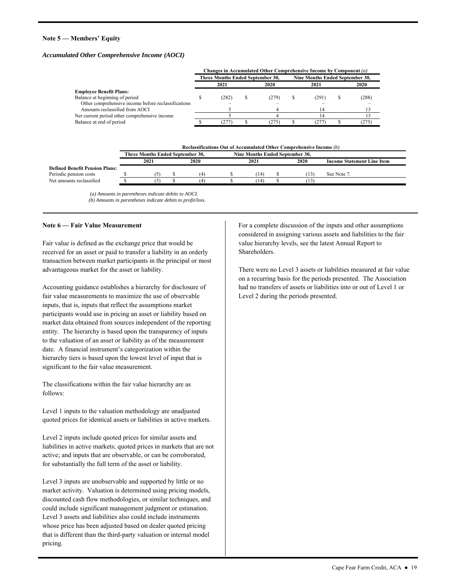#### **Note 5 — Members' Equity**

#### *Accumulated Other Comprehensive Income (AOCI)*

|                                                     | Changes in Accumulated Other Comprehensive Income by Component (a) |                                  |  |       |                                 |                |  |       |  |  |  |  |
|-----------------------------------------------------|--------------------------------------------------------------------|----------------------------------|--|-------|---------------------------------|----------------|--|-------|--|--|--|--|
|                                                     |                                                                    | Three Months Ended September 30, |  |       | Nine Months Ended September 30, |                |  |       |  |  |  |  |
|                                                     |                                                                    | 2021                             |  | 2020  |                                 | 2021           |  | 2020  |  |  |  |  |
| <b>Employee Benefit Plans:</b>                      |                                                                    |                                  |  |       |                                 |                |  |       |  |  |  |  |
| Balance at beginning of period                      |                                                                    | (282)                            |  | (279) |                                 | (291)          |  | (288) |  |  |  |  |
| Other comprehensive income before reclassifications |                                                                    |                                  |  |       |                                 |                |  |       |  |  |  |  |
| Amounts reclassified from AOCI                      |                                                                    |                                  |  |       |                                 | $\overline{4}$ |  |       |  |  |  |  |
| Net current period other comprehensive income       |                                                                    |                                  |  |       |                                 |                |  |       |  |  |  |  |
| Balance at end of period                            |                                                                    | (277)                            |  | 275)  |                                 | 277            |  | (275) |  |  |  |  |

 **Reclassifications Out of Accumulated Other Comprehensive Income** *(b)* 

|                                       | <b>Three Months Ended September 30.</b> |             |      | <b>Nine Months Ended September 30.</b> |  |      |                                   |  |
|---------------------------------------|-----------------------------------------|-------------|------|----------------------------------------|--|------|-----------------------------------|--|
|                                       | 2021                                    | <b>2020</b> | 2021 |                                        |  | 2020 | <b>Income Statement Line Item</b> |  |
| <b>Defined Benefit Pension Plans:</b> |                                         |             |      |                                        |  |      |                                   |  |
| Periodic pension costs                |                                         |             |      | . 14                                   |  |      | See Note 7                        |  |
| Net amounts reclassified              |                                         |             |      | 14                                     |  |      |                                   |  |

 *(a) Amounts in parentheses indicate debits to AOCI. (b) Amounts in parentheses indicate debits to profit/loss*.

#### **Note 6 — Fair Value Measurement**

Fair value is defined as the exchange price that would be received for an asset or paid to transfer a liability in an orderly transaction between market participants in the principal or most advantageous market for the asset or liability.

Accounting guidance establishes a hierarchy for disclosure of fair value measurements to maximize the use of observable inputs, that is, inputs that reflect the assumptions market participants would use in pricing an asset or liability based on market data obtained from sources independent of the reporting entity. The hierarchy is based upon the transparency of inputs to the valuation of an asset or liability as of the measurement date. A financial instrument's categorization within the hierarchy tiers is based upon the lowest level of input that is significant to the fair value measurement.

The classifications within the fair value hierarchy are as follows:

Level 1 inputs to the valuation methodology are unadjusted quoted prices for identical assets or liabilities in active markets.

 for substantially the full term of the asset or liability. Level 2 inputs include quoted prices for similar assets and liabilities in active markets; quoted prices in markets that are not active; and inputs that are observable, or can be corroborated,

 Level 3 inputs are unobservable and supported by little or no discounted cash flow methodologies, or similar techniques, and market activity. Valuation is determined using pricing models, could include significant management judgment or estimation. Level 3 assets and liabilities also could include instruments whose price has been adjusted based on dealer quoted pricing that is different than the third-party valuation or internal model pricing.

For a complete discussion of the inputs and other assumptions considered in assigning various assets and liabilities to the fair value hierarchy levels, see the latest Annual Report to Shareholders.

 on a recurring basis for the periods presented. The Association had no transfers of assets or liabilities into or out of Level 1 or There were no Level 3 assets or liabilities measured at fair value Level 2 during the periods presented.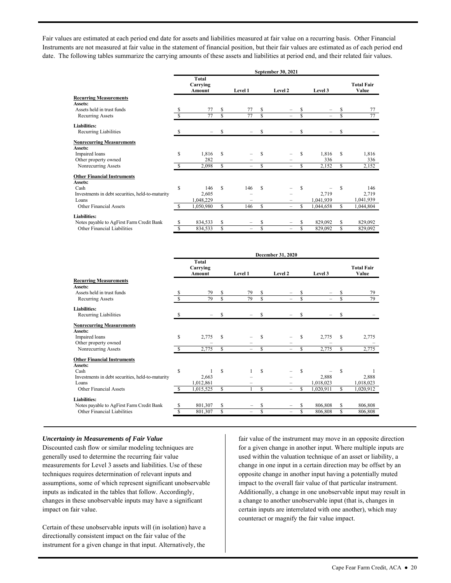Fair values are estimated at each period end date for assets and liabilities measured at fair value on a recurring basis. Other Financial Instruments are not measured at fair value in the statement of financial position, but their fair values are estimated as of each period end date. The following tables summarize the carrying amounts of these assets and liabilities at period end, and their related fair values.

|                                                  | September 30, 2021          |           |     |         |              |                          |         |           |                            |           |
|--------------------------------------------------|-----------------------------|-----------|-----|---------|--------------|--------------------------|---------|-----------|----------------------------|-----------|
|                                                  | Total<br>Carrying<br>Amount |           |     | Level 1 | Level 2      |                          | Level 3 |           | <b>Total Fair</b><br>Value |           |
| <b>Recurring Measurements</b>                    |                             |           |     |         |              |                          |         |           |                            |           |
| Assets:                                          |                             |           |     |         |              |                          |         |           |                            |           |
| Assets held in trust funds                       | S                           | 77        | S   | 77      | \$           |                          | S       |           | \$                         | 77        |
| Recurring Assets                                 | Ŝ                           | 77        | \$  | 77      | $\mathbb{S}$ |                          | \$      |           | \$                         | 77        |
| Liabilities:                                     |                             |           |     |         |              |                          |         |           |                            |           |
| Recurring Liabilities                            | S                           |           | S   |         | S            |                          | S       |           | S                          |           |
| <b>Nonrecurring Measurements</b>                 |                             |           |     |         |              |                          |         |           |                            |           |
| Assets:                                          |                             |           |     |         |              |                          |         |           |                            |           |
| Impaired loans                                   | \$                          | 1,816     | S   |         | Ŝ            |                          | S       | 1,816     | S                          | 1,816     |
| Other property owned                             |                             | 282       |     |         |              |                          |         | 336       |                            | 336       |
| Nonrecurring Assets                              | S                           | 2,098     | \$. |         | S            | $\overline{\phantom{0}}$ | S       | 2,152     | S                          | 2,152     |
| <b>Other Financial Instruments</b>               |                             |           |     |         |              |                          |         |           |                            |           |
| Assets:                                          |                             |           |     |         |              |                          |         |           |                            |           |
| Cash                                             | S                           | 146       | S   | 146     | \$.          |                          | \$      |           | \$                         | 146       |
| Investments in debt securities, held-to-maturity |                             | 2,605     |     |         |              |                          |         | 2,719     |                            | 2,719     |
| Loans                                            |                             | 1,048,229 |     |         |              |                          |         | 1,041,939 |                            | 1,041,939 |
| <b>Other Financial Assets</b>                    |                             | 1,050,980 | S   | 146     | S            | -                        | S       | 1,044,658 | S                          | 1,044,804 |
| Liabilities:                                     |                             |           |     |         |              |                          |         |           |                            |           |
| Notes payable to AgFirst Farm Credit Bank        | S                           | 834,533   | S   |         | S            |                          | \$      | 829,092   | S                          | 829,092   |
| Other Financial Liabilities                      | S                           | 834,533   | S   | -       | \$           | -                        | \$      | 829,092   | S                          | 829,092   |

|                                                  |    |                             |    |         | December 31, 2020 |         |     |           |    |                            |  |  |
|--------------------------------------------------|----|-----------------------------|----|---------|-------------------|---------|-----|-----------|----|----------------------------|--|--|
|                                                  |    | Total<br>Carrying<br>Amount |    | Level 1 |                   | Level 2 |     | Level 3   |    | <b>Total Fair</b><br>Value |  |  |
| <b>Recurring Measurements</b>                    |    |                             |    |         |                   |         |     |           |    |                            |  |  |
| Assets:                                          |    |                             |    |         |                   |         |     |           |    |                            |  |  |
| Assets held in trust funds                       | S  | 79                          | S  | 79      | \$                |         | \$  |           | \$ | 79                         |  |  |
| Recurring Assets                                 | S  | 79                          | S  | 79      | S                 |         | S   |           | S  | 79                         |  |  |
| <b>Liabilities:</b>                              |    |                             |    |         |                   |         |     |           |    |                            |  |  |
| Recurring Liabilities                            | S  |                             | S  |         | \$                |         | S   |           | \$ |                            |  |  |
| <b>Nonrecurring Measurements</b>                 |    |                             |    |         |                   |         |     |           |    |                            |  |  |
| Assets:                                          |    |                             |    |         |                   |         |     |           |    |                            |  |  |
| Impaired loans                                   | S  | 2,775                       | S  |         | S                 |         | S   | 2,775     | S  | 2,775                      |  |  |
| Other property owned                             |    |                             |    |         |                   |         |     |           |    |                            |  |  |
| Nonrecurring Assets                              | S  | 2,775                       | S  |         | \$                |         | \$  | 2,775     | \$ | 2,775                      |  |  |
| <b>Other Financial Instruments</b>               |    |                             |    |         |                   |         |     |           |    |                            |  |  |
| Assets:                                          |    |                             |    |         |                   |         |     |           |    |                            |  |  |
| Cash                                             | \$ |                             | S  |         | S                 |         | \$. |           | \$ | 1                          |  |  |
| Investments in debt securities, held-to-maturity |    | 2,663                       |    |         |                   |         |     | 2,888     |    | 2,888                      |  |  |
| Loans                                            |    | 1,012,861                   |    |         |                   |         |     | 1,018,023 |    | 1,018,023                  |  |  |
| Other Financial Assets                           | S  | 1,015,525                   | S  |         | \$                |         | S   | 1,020,911 | \$ | 1,020,912                  |  |  |
| Liabilities:                                     |    |                             |    |         |                   |         |     |           |    |                            |  |  |
| Notes payable to AgFirst Farm Credit Bank        | S  | 801,307                     | \$ |         | \$                |         | \$  | 806,808   | \$ | 806,808                    |  |  |
| Other Financial Liabilities                      | \$ | 801,307                     | \$ | -       | S                 |         | S   | 806,808   | S  | 806,808                    |  |  |

#### *Uncertainty in Measurements of Fair Value*

 Discounted cash flow or similar modeling techniques are impact on fair value. generally used to determine the recurring fair value measurements for Level 3 assets and liabilities. Use of these techniques requires determination of relevant inputs and assumptions, some of which represent significant unobservable inputs as indicated in the tables that follow. Accordingly, changes in these unobservable inputs may have a significant

Certain of these unobservable inputs will (in isolation) have a directionally consistent impact on the fair value of the instrument for a given change in that input. Alternatively, the

 for a given change in another input. Where multiple inputs are change in one input in a certain direction may be offset by an fair value of the instrument may move in an opposite direction used within the valuation technique of an asset or liability, a opposite change in another input having a potentially muted impact to the overall fair value of that particular instrument. Additionally, a change in one unobservable input may result in a change to another unobservable input (that is, changes in certain inputs are interrelated with one another), which may counteract or magnify the fair value impact.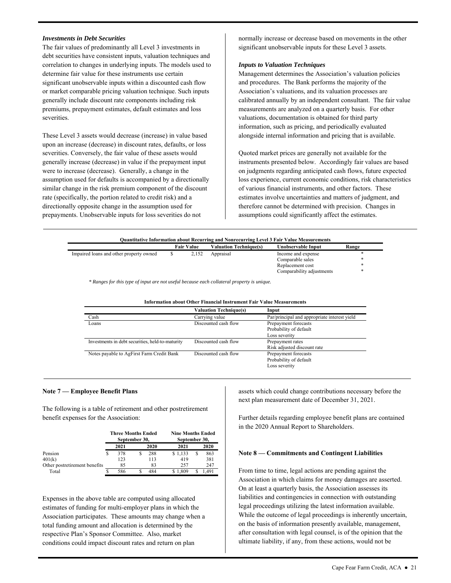#### *Investments in Debt Securities*

 premiums, prepayment estimates, default estimates and loss The fair values of predominantly all Level 3 investments in debt securities have consistent inputs, valuation techniques and correlation to changes in underlying inputs. The models used to determine fair value for these instruments use certain significant unobservable inputs within a discounted cash flow or market comparable pricing valuation technique. Such inputs generally include discount rate components including risk severities.

 severities. Conversely, the fair value of these assets would were to increase (decrease). Generally, a change in the assumption used for defaults is accompanied by a directionally prepayments. Unobservable inputs for loss severities do not These Level 3 assets would decrease (increase) in value based upon an increase (decrease) in discount rates, defaults, or loss generally increase (decrease) in value if the prepayment input similar change in the risk premium component of the discount rate (specifically, the portion related to credit risk) and a directionally opposite change in the assumption used for

normally increase or decrease based on movements in the other significant unobservable inputs for these Level 3 assets.

#### *Inputs to Valuation Techniques*

 calibrated annually by an independent consultant. The fair value valuations, documentation is obtained for third party information, such as pricing, and periodically evaluated Management determines the Association's valuation policies and procedures. The Bank performs the majority of the Association's valuations, and its valuation processes are measurements are analyzed on a quarterly basis. For other alongside internal information and pricing that is available.

Quoted market prices are generally not available for the instruments presented below. Accordingly fair values are based on judgments regarding anticipated cash flows, future expected loss experience, current economic conditions, risk characteristics of various financial instruments, and other factors. These estimates involve uncertainties and matters of judgment, and therefore cannot be determined with precision. Changes in assumptions could significantly affect the estimates.

| <b>Ouantitative Information about Recurring and Nonrecurring Level 3 Fair Value Measurements</b> |  |                   |                               |                           |       |  |  |  |  |  |  |
|--------------------------------------------------------------------------------------------------|--|-------------------|-------------------------------|---------------------------|-------|--|--|--|--|--|--|
|                                                                                                  |  | <b>Fair Value</b> | <b>Valuation Technique(s)</b> | Unobservable Input        | Range |  |  |  |  |  |  |
| Impaired loans and other property owned                                                          |  | 2.152             | Appraisal                     | Income and expense        | *     |  |  |  |  |  |  |
|                                                                                                  |  |                   |                               | Comparable sales          | ∗     |  |  |  |  |  |  |
|                                                                                                  |  |                   |                               | Replacement cost          | *     |  |  |  |  |  |  |
|                                                                                                  |  |                   |                               | Comparability adjustments | *     |  |  |  |  |  |  |

 *\* Ranges for this type of input are not useful because each collateral property is unique.* 

| тиногинация авиц Синег гипанстан гизи инпент ганг уанде меазди ещениз |                                              |  |  |  |  |  |
|-----------------------------------------------------------------------|----------------------------------------------|--|--|--|--|--|
| <b>Valuation Technique(s)</b>                                         | Input                                        |  |  |  |  |  |
| Carrying value                                                        | Par/principal and appropriate interest yield |  |  |  |  |  |
| Discounted cash flow                                                  | Prepayment forecasts                         |  |  |  |  |  |
|                                                                       | Probability of default                       |  |  |  |  |  |
|                                                                       | Loss severity                                |  |  |  |  |  |
| Discounted cash flow                                                  | Prepayment rates                             |  |  |  |  |  |
|                                                                       | Risk adjusted discount rate                  |  |  |  |  |  |
| Discounted cash flow                                                  | Prepayment forecasts                         |  |  |  |  |  |
|                                                                       | Probability of default                       |  |  |  |  |  |
|                                                                       | Loss severity                                |  |  |  |  |  |
|                                                                       |                                              |  |  |  |  |  |

### **Information about Other Financial Instrument Fair Value Measurements**

#### **Note 7 — Employee Benefit Plans**

 The following is a table of retirement and other postretirement benefit expenses for the Association:

|                               | <b>Three Months Ended</b><br>September 30, |      | <b>Nine Months Ended</b><br>September 30, |  |       |  |
|-------------------------------|--------------------------------------------|------|-------------------------------------------|--|-------|--|
|                               | 2021                                       | 2020 | 2021                                      |  | 2020  |  |
| Pension                       | 378                                        | 288  | \$1,133                                   |  | 863   |  |
| 401(k)                        | 123                                        | 113  | 419                                       |  | 381   |  |
| Other postretirement benefits | 85                                         | 83   | 257                                       |  | 247   |  |
| Total                         | 586                                        | 484  | \$1.809                                   |  | 1.491 |  |

 estimates of funding for multi-employer plans in which the total funding amount and allocation is determined by the Expenses in the above table are computed using allocated Association participates. These amounts may change when a respective Plan's Sponsor Committee. Also, market conditions could impact discount rates and return on plan

 next plan measurement date of December 31, 2021. assets which could change contributions necessary before the

Further details regarding employee benefit plans are contained in the 2020 Annual Report to Shareholders.

#### **Note 8 — Commitments and Contingent Liabilities**

 Association in which claims for money damages are asserted. On at least a quarterly basis, the Association assesses its ultimate liability, if any, from these actions, would not be From time to time, legal actions are pending against the liabilities and contingencies in connection with outstanding legal proceedings utilizing the latest information available. While the outcome of legal proceedings is inherently uncertain, on the basis of information presently available, management, after consultation with legal counsel, is of the opinion that the